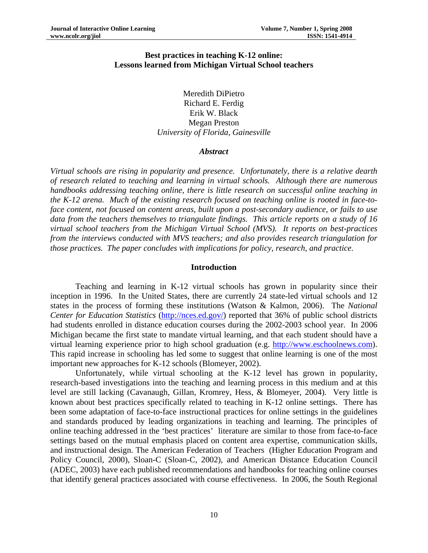## **Best practices in teaching K-12 online: Lessons learned from Michigan Virtual School teachers**

Meredith DiPietro Richard E. Ferdig Erik W. Black Megan Preston *University of Florida, Gainesville* 

#### *Abstract*

*Virtual schools are rising in popularity and presence. Unfortunately, there is a relative dearth of research related to teaching and learning in virtual schools. Although there are numerous handbooks addressing teaching online, there is little research on successful online teaching in the K-12 arena. Much of the existing research focused on teaching online is rooted in face-toface content, not focused on content areas, built upon a post-secondary audience, or fails to use data from the teachers themselves to triangulate findings. This article reports on a study of 16 virtual school teachers from the Michigan Virtual School (MVS). It reports on best-practices from the interviews conducted with MVS teachers; and also provides research triangulation for those practices. The paper concludes with implications for policy, research, and practice.* 

#### **Introduction**

Teaching and learning in K-12 virtual schools has grown in popularity since their inception in 1996. In the United States, there are currently 24 state-led virtual schools and 12 states in the process of forming these institutions (Watson & Kalmon, 2006). The *National Center for Education Statistics* ([http://nces.ed.gov/\)](http://nces.ed.gov/) reported that 36% of public school districts had students enrolled in distance education courses during the 2002-2003 school year. In 2006 Michigan became the first state to mandate virtual learning, and that each student should have a virtual learning experience prior to high school graduation (e.g. [http://www.eschoolnews.com\)](http://www.eschoolnews.com/news/showStory.cfm?ArticleID=6223). This rapid increase in schooling has led some to suggest that online learning is one of the most important new approaches for K-12 schools (Blomeyer, 2002).

Unfortunately, while virtual schooling at the K-12 level has grown in popularity, research-based investigations into the teaching and learning process in this medium and at this level are still lacking (Cavanaugh, Gillan, Kromrey, Hess, & Blomeyer, 2004). Very little is known about best practices specifically related to teaching in K-12 online settings. There has been some adaptation of face-to-face instructional practices for online settings in the guidelines and standards produced by leading organizations in teaching and learning. The principles of online teaching addressed in the 'best practices' literature are similar to those from face-to-face settings based on the mutual emphasis placed on content area expertise, communication skills, and instructional design. The American Federation of Teachers (Higher Education Program and Policy Council, 2000), Sloan-C (Sloan-C, 2002), and American Distance Education Council (ADEC, 2003) have each published recommendations and handbooks for teaching online courses that identify general practices associated with course effectiveness. In 2006, the South Regional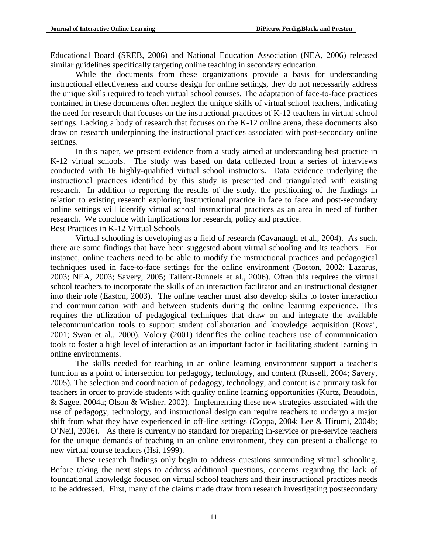Educational Board (SREB, 2006) and National Education Association (NEA, 2006) released similar guidelines specifically targeting online teaching in secondary education.

While the documents from these organizations provide a basis for understanding instructional effectiveness and course design for online settings, they do not necessarily address the unique skills required to teach virtual school courses. The adaptation of face-to-face practices contained in these documents often neglect the unique skills of virtual school teachers, indicating the need for research that focuses on the instructional practices of K-12 teachers in virtual school settings. Lacking a body of research that focuses on the K-12 online arena, these documents also draw on research underpinning the instructional practices associated with post-secondary online settings.

In this paper, we present evidence from a study aimed at understanding best practice in K-12 virtual schools. The study was based on data collected from a series of interviews conducted with 16 highly-qualified virtual school instructors**.** Data evidence underlying the instructional practices identified by this study is presented and triangulated with existing research. In addition to reporting the results of the study, the positioning of the findings in relation to existing research exploring instructional practice in face to face and post-secondary online settings will identify virtual school instructional practices as an area in need of further research. We conclude with implications for research, policy and practice. Best Practices in K-12 Virtual Schools

Virtual schooling is developing as a field of research (Cavanaugh et al., 2004). As such, there are some findings that have been suggested about virtual schooling and its teachers. For instance, online teachers need to be able to modify the instructional practices and pedagogical techniques used in face-to-face settings for the online environment (Boston, 2002; Lazarus, 2003; NEA, 2003; Savery, 2005; Tallent-Runnels et al., 2006). Often this requires the virtual school teachers to incorporate the skills of an interaction facilitator and an instructional designer into their role (Easton, 2003). The online teacher must also develop skills to foster interaction and communication with and between students during the online learning experience. This requires the utilization of pedagogical techniques that draw on and integrate the available telecommunication tools to support student collaboration and knowledge acquisition (Rovai, 2001; Swan et al., 2000). Volery (2001) identifies the online teachers use of communication tools to foster a high level of interaction as an important factor in facilitating student learning in online environments.

The skills needed for teaching in an online learning environment support a teacher's function as a point of intersection for pedagogy, technology, and content (Russell, 2004; Savery, 2005). The selection and coordination of pedagogy, technology, and content is a primary task for teachers in order to provide students with quality online learning opportunities (Kurtz, Beaudoin, & Sagee, 2004a; Olson & Wisher, 2002). Implementing these new strategies associated with the use of pedagogy, technology, and instructional design can require teachers to undergo a major shift from what they have experienced in off-line settings (Coppa, 2004; Lee & Hirumi, 2004b; O'Neil, 2006). As there is currently no standard for preparing in-service or pre-service teachers for the unique demands of teaching in an online environment, they can present a challenge to new virtual course teachers (Hsi, 1999).

These research findings only begin to address questions surrounding virtual schooling. Before taking the next steps to address additional questions, concerns regarding the lack of foundational knowledge focused on virtual school teachers and their instructional practices needs to be addressed. First, many of the claims made draw from research investigating postsecondary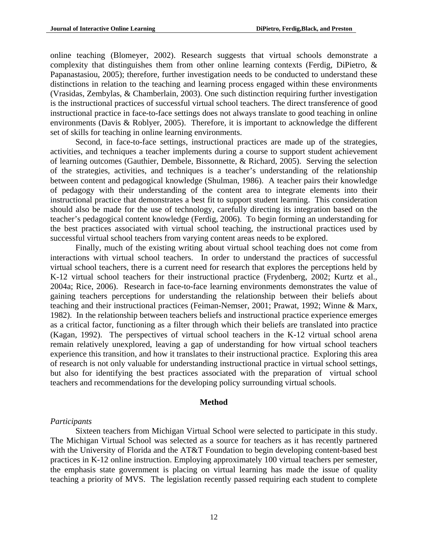online teaching (Blomeyer, 2002). Research suggests that virtual schools demonstrate a complexity that distinguishes them from other online learning contexts (Ferdig, DiPietro, & Papanastasiou, 2005); therefore, further investigation needs to be conducted to understand these distinctions in relation to the teaching and learning process engaged within these environments (Vrasidas, Zembylas, & Chamberlain, 2003). One such distinction requiring further investigation is the instructional practices of successful virtual school teachers. The direct transference of good instructional practice in face-to-face settings does not always translate to good teaching in online environments (Davis & Roblyer, 2005). Therefore, it is important to acknowledge the different set of skills for teaching in online learning environments.

Second, in face-to-face settings, instructional practices are made up of the strategies, activities, and techniques a teacher implements during a course to support student achievement of learning outcomes (Gauthier, Dembele, Bissonnette, & Richard, 2005). Serving the selection of the strategies, activities, and techniques is a teacher's understanding of the relationship between content and pedagogical knowledge (Shulman, 1986). A teacher pairs their knowledge of pedagogy with their understanding of the content area to integrate elements into their instructional practice that demonstrates a best fit to support student learning. This consideration should also be made for the use of technology, carefully directing its integration based on the teacher's pedagogical content knowledge (Ferdig, 2006). To begin forming an understanding for the best practices associated with virtual school teaching, the instructional practices used by successful virtual school teachers from varying content areas needs to be explored.

Finally, much of the existing writing about virtual school teaching does not come from interactions with virtual school teachers. In order to understand the practices of successful virtual school teachers, there is a current need for research that explores the perceptions held by K-12 virtual school teachers for their instructional practice (Frydenberg, 2002; Kurtz et al., 2004a; Rice, 2006). Research in face-to-face learning environments demonstrates the value of gaining teachers perceptions for understanding the relationship between their beliefs about teaching and their instructional practices (Feiman-Nemser, 2001; Prawat, 1992; Winne & Marx, 1982). In the relationship between teachers beliefs and instructional practice experience emerges as a critical factor, functioning as a filter through which their beliefs are translated into practice (Kagan, 1992). The perspectives of virtual school teachers in the K-12 virtual school arena remain relatively unexplored, leaving a gap of understanding for how virtual school teachers experience this transition, and how it translates to their instructional practice. Exploring this area of research is not only valuable for understanding instructional practice in virtual school settings, but also for identifying the best practices associated with the preparation of virtual school teachers and recommendations for the developing policy surrounding virtual schools.

#### **Method**

#### *Participants*

Sixteen teachers from Michigan Virtual School were selected to participate in this study. The Michigan Virtual School was selected as a source for teachers as it has recently partnered with the University of Florida and the AT&T Foundation to begin developing content-based best practices in K-12 online instruction. Employing approximately 100 virtual teachers per semester, the emphasis state government is placing on virtual learning has made the issue of quality teaching a priority of MVS. The legislation recently passed requiring each student to complete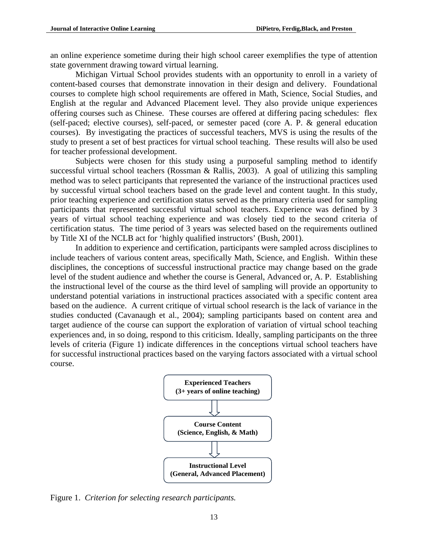an online experience sometime during their high school career exemplifies the type of attention state government drawing toward virtual learning.

Michigan Virtual School provides students with an opportunity to enroll in a variety of content-based courses that demonstrate innovation in their design and delivery. Foundational courses to complete high school requirements are offered in Math, Science, Social Studies, and English at the regular and Advanced Placement level. They also provide unique experiences offering courses such as Chinese. These courses are offered at differing pacing schedules: flex (self-paced; elective courses), self-paced, or semester paced (core A. P. & general education courses). By investigating the practices of successful teachers, MVS is using the results of the study to present a set of best practices for virtual school teaching. These results will also be used for teacher professional development.

Subjects were chosen for this study using a purposeful sampling method to identify successful virtual school teachers (Rossman & Rallis, 2003). A goal of utilizing this sampling method was to select participants that represented the variance of the instructional practices used by successful virtual school teachers based on the grade level and content taught. In this study, prior teaching experience and certification status served as the primary criteria used for sampling participants that represented successful virtual school teachers. Experience was defined by 3 years of virtual school teaching experience and was closely tied to the second criteria of certification status. The time period of 3 years was selected based on the requirements outlined by Title XI of the NCLB act for 'highly qualified instructors' (Bush, 2001).

In addition to experience and certification, participants were sampled across disciplines to include teachers of various content areas, specifically Math, Science, and English. Within these disciplines, the conceptions of successful instructional practice may change based on the grade level of the student audience and whether the course is General, Advanced or, A. P. Establishing the instructional level of the course as the third level of sampling will provide an opportunity to understand potential variations in instructional practices associated with a specific content area based on the audience. A current critique of virtual school research is the lack of variance in the studies conducted (Cavanaugh et al., 2004); sampling participants based on content area and target audience of the course can support the exploration of variation of virtual school teaching experiences and, in so doing, respond to this criticism. Ideally, sampling participants on the three levels of criteria (Figure 1) indicate differences in the conceptions virtual school teachers have for successful instructional practices based on the varying factors associated with a virtual school course.



Figure 1. *Criterion for selecting research participants.*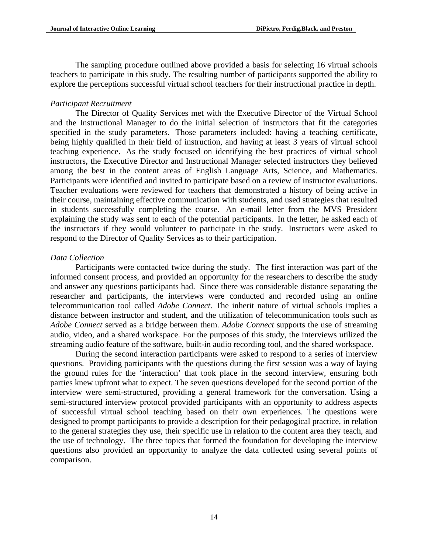The sampling procedure outlined above provided a basis for selecting 16 virtual schools teachers to participate in this study. The resulting number of participants supported the ability to explore the perceptions successful virtual school teachers for their instructional practice in depth.

## *Participant Recruitment*

The Director of Quality Services met with the Executive Director of the Virtual School and the Instructional Manager to do the initial selection of instructors that fit the categories specified in the study parameters. Those parameters included: having a teaching certificate, being highly qualified in their field of instruction, and having at least 3 years of virtual school teaching experience. As the study focused on identifying the best practices of virtual school instructors, the Executive Director and Instructional Manager selected instructors they believed among the best in the content areas of English Language Arts, Science, and Mathematics. Participants were identified and invited to participate based on a review of instructor evaluations. Teacher evaluations were reviewed for teachers that demonstrated a history of being active in their course, maintaining effective communication with students, and used strategies that resulted in students successfully completing the course. An e-mail letter from the MVS President explaining the study was sent to each of the potential participants. In the letter, he asked each of the instructors if they would volunteer to participate in the study. Instructors were asked to respond to the Director of Quality Services as to their participation.

## *Data Collection*

Participants were contacted twice during the study. The first interaction was part of the informed consent process, and provided an opportunity for the researchers to describe the study and answer any questions participants had. Since there was considerable distance separating the researcher and participants, the interviews were conducted and recorded using an online telecommunication tool called *Adobe Connect*. The inherit nature of virtual schools implies a distance between instructor and student, and the utilization of telecommunication tools such as *Adobe Connect* served as a bridge between them. *Adobe Connect* supports the use of streaming audio, video, and a shared workspace. For the purposes of this study, the interviews utilized the streaming audio feature of the software, built-in audio recording tool, and the shared workspace.

During the second interaction participants were asked to respond to a series of interview questions. Providing participants with the questions during the first session was a way of laying the ground rules for the 'interaction' that took place in the second interview, ensuring both parties knew upfront what to expect. The seven questions developed for the second portion of the interview were semi-structured, providing a general framework for the conversation. Using a semi-structured interview protocol provided participants with an opportunity to address aspects of successful virtual school teaching based on their own experiences. The questions were designed to prompt participants to provide a description for their pedagogical practice, in relation to the general strategies they use, their specific use in relation to the content area they teach, and the use of technology. The three topics that formed the foundation for developing the interview questions also provided an opportunity to analyze the data collected using several points of comparison.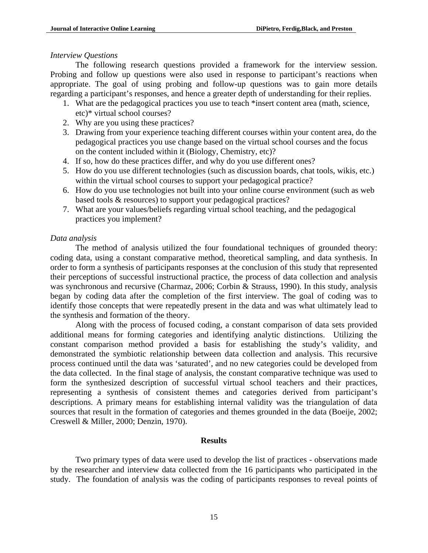#### *Interview Questions*

The following research questions provided a framework for the interview session. Probing and follow up questions were also used in response to participant's reactions when appropriate. The goal of using probing and follow-up questions was to gain more details regarding a participant's responses, and hence a greater depth of understanding for their replies.

- 1. What are the pedagogical practices you use to teach \*insert content area (math, science, etc)\* virtual school courses?
- 2. Why are you using these practices?
- 3. Drawing from your experience teaching different courses within your content area, do the pedagogical practices you use change based on the virtual school courses and the focus on the content included within it (Biology, Chemistry, etc)?
- 4. If so, how do these practices differ, and why do you use different ones?
- 5. How do you use different technologies (such as discussion boards, chat tools, wikis, etc.) within the virtual school courses to support your pedagogical practice?
- 6. How do you use technologies not built into your online course environment (such as web based tools & resources) to support your pedagogical practices?
- 7. What are your values/beliefs regarding virtual school teaching, and the pedagogical practices you implement?

### *Data analysis*

The method of analysis utilized the four foundational techniques of grounded theory: coding data, using a constant comparative method, theoretical sampling, and data synthesis. In order to form a synthesis of participants responses at the conclusion of this study that represented their perceptions of successful instructional practice, the process of data collection and analysis was synchronous and recursive (Charmaz, 2006; Corbin & Strauss, 1990). In this study, analysis began by coding data after the completion of the first interview. The goal of coding was to identify those concepts that were repeatedly present in the data and was what ultimately lead to the synthesis and formation of the theory.

Along with the process of focused coding, a constant comparison of data sets provided additional means for forming categories and identifying analytic distinctions. Utilizing the constant comparison method provided a basis for establishing the study's validity, and demonstrated the symbiotic relationship between data collection and analysis. This recursive process continued until the data was 'saturated', and no new categories could be developed from the data collected. In the final stage of analysis, the constant comparative technique was used to form the synthesized description of successful virtual school teachers and their practices, representing a synthesis of consistent themes and categories derived from participant's descriptions. A primary means for establishing internal validity was the triangulation of data sources that result in the formation of categories and themes grounded in the data (Boeije, 2002; Creswell & Miller, 2000; Denzin, 1970).

#### **Results**

Two primary types of data were used to develop the list of practices - observations made by the researcher and interview data collected from the 16 participants who participated in the study. The foundation of analysis was the coding of participants responses to reveal points of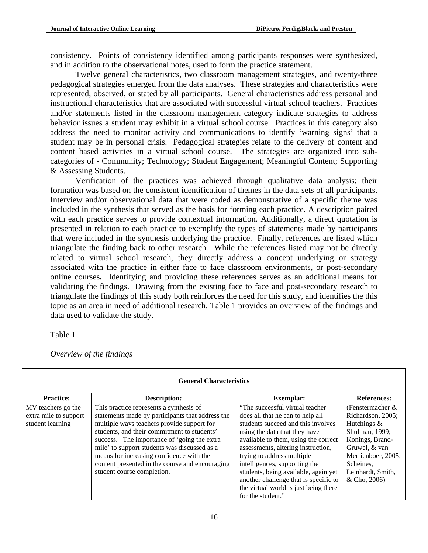consistency. Points of consistency identified among participants responses were synthesized, and in addition to the observational notes, used to form the practice statement.

 Twelve general characteristics, two classroom management strategies, and twenty-three pedagogical strategies emerged from the data analyses. These strategies and characteristics were represented, observed, or stated by all participants. General characteristics address personal and instructional characteristics that are associated with successful virtual school teachers. Practices and/or statements listed in the classroom management category indicate strategies to address behavior issues a student may exhibit in a virtual school course. Practices in this category also address the need to monitor activity and communications to identify 'warning signs' that a student may be in personal crisis. Pedagogical strategies relate to the delivery of content and content based activities in a virtual school course. The strategies are organized into subcategories of - Community; Technology; Student Engagement; Meaningful Content; Supporting & Assessing Students.

Verification of the practices was achieved through qualitative data analysis; their formation was based on the consistent identification of themes in the data sets of all participants. Interview and/or observational data that were coded as demonstrative of a specific theme was included in the synthesis that served as the basis for forming each practice. A description paired with each practice serves to provide contextual information. Additionally, a direct quotation is presented in relation to each practice to exemplify the types of statements made by participants that were included in the synthesis underlying the practice. Finally, references are listed which triangulate the finding back to other research. While the references listed may not be directly related to virtual school research, they directly address a concept underlying or strategy associated with the practice in either face to face classroom environments, or post-secondary online courses**.** Identifying and providing these references serves as an additional means for validating the findings. Drawing from the existing face to face and post-secondary research to triangulate the findings of this study both reinforces the need for this study, and identifies the this topic as an area in need of additional research. Table 1 provides an overview of the findings and data used to validate the study.

Table 1

*Overview of the findings* 

|                       | <b>General Characteristics</b>                   |                                       |                    |
|-----------------------|--------------------------------------------------|---------------------------------------|--------------------|
| <b>Practice:</b>      | Description:                                     | <b>Exemplar:</b>                      | <b>References:</b> |
| MV teachers go the    | This practice represents a synthesis of          | "The successful virtual teacher"      | (Fenstermacher &   |
| extra mile to support | statements made by participants that address the | does all that he can to help all      | Richardson, 2005;  |
| student learning      | multiple ways teachers provide support for       | students succeed and this involves    | Hutchings $&$      |
|                       | students, and their commitment to students'      | using the data that they have         | Shulman, 1999;     |
|                       | success. The importance of 'going the extra      | available to them, using the correct  | Konings, Brand-    |
|                       | mile' to support students was discussed as a     | assessments, altering instruction,    | Gruwel, & van      |
|                       | means for increasing confidence with the         | trying to address multiple            | Merrienboer, 2005; |
|                       | content presented in the course and encouraging  | intelligences, supporting the         | Scheines.          |
|                       | student course completion.                       | students, being available, again yet  | Leinhardt, Smith,  |
|                       |                                                  | another challenge that is specific to | & Cho, 2006)       |
|                       |                                                  | the virtual world is just being there |                    |
|                       |                                                  | for the student."                     |                    |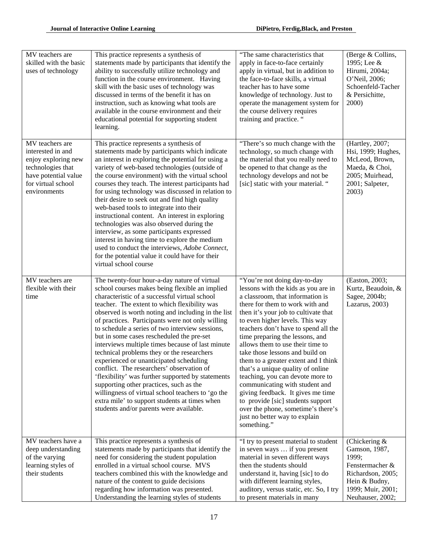| MV teachers are<br>skilled with the basic<br>uses of technology                                                                                | This practice represents a synthesis of<br>statements made by participants that identify the<br>ability to successfully utilize technology and<br>function in the course environment. Having<br>skill with the basic uses of technology was<br>discussed in terms of the benefit it has on<br>instruction, such as knowing what tools are<br>available in the course environment and their<br>educational potential for supporting student<br>learning.                                                                                                                                                                                                                                                                                                                                                                                              | "The same characteristics that<br>apply in face-to-face certainly<br>apply in virtual, but in addition to<br>the face-to-face skills, a virtual<br>teacher has to have some<br>knowledge of technology. Just to<br>operate the management system for<br>the course delivery requires<br>training and practice. "                                                                                                                                                                                                                                                                                                                                                                           | (Berge & Collins,<br>1995; Lee &<br>Hirumi, 2004a;<br>O'Neil, 2006;<br>Schoenfeld-Tacher<br>& Persichitte,<br>2000)                         |
|------------------------------------------------------------------------------------------------------------------------------------------------|------------------------------------------------------------------------------------------------------------------------------------------------------------------------------------------------------------------------------------------------------------------------------------------------------------------------------------------------------------------------------------------------------------------------------------------------------------------------------------------------------------------------------------------------------------------------------------------------------------------------------------------------------------------------------------------------------------------------------------------------------------------------------------------------------------------------------------------------------|--------------------------------------------------------------------------------------------------------------------------------------------------------------------------------------------------------------------------------------------------------------------------------------------------------------------------------------------------------------------------------------------------------------------------------------------------------------------------------------------------------------------------------------------------------------------------------------------------------------------------------------------------------------------------------------------|---------------------------------------------------------------------------------------------------------------------------------------------|
| MV teachers are<br>interested in and<br>enjoy exploring new<br>technologies that<br>have potential value<br>for virtual school<br>environments | This practice represents a synthesis of<br>statements made by participants which indicate<br>an interest in exploring the potential for using a<br>variety of web-based technologies (outside of<br>the course environment) with the virtual school<br>courses they teach. The interest participants had<br>for using technology was discussed in relation to<br>their desire to seek out and find high quality<br>web-based tools to integrate into their<br>instructional content. An interest in exploring<br>technologies was also observed during the<br>interview, as some participants expressed<br>interest in having time to explore the medium<br>used to conduct the interviews, Adobe Connect,<br>for the potential value it could have for their<br>virtual school course                                                               | "There's so much change with the<br>technology, so much change with<br>the material that you really need to<br>be opened to that change as the<br>technology develops and not be<br>[sic] static with your material. "                                                                                                                                                                                                                                                                                                                                                                                                                                                                     | (Hartley, 2007;<br>Hsi, 1999; Hughes,<br>McLeod, Brown,<br>Maeda, & Choi,<br>2005; Muirhead,<br>2001; Salpeter,<br>2003)                    |
| MV teachers are<br>flexible with their<br>time                                                                                                 | The twenty-four hour-a-day nature of virtual<br>school courses makes being flexible an implied<br>characteristic of a successful virtual school<br>teacher. The extent to which flexibility was<br>observed is worth noting and including in the list<br>of practices. Participants were not only willing<br>to schedule a series of two interview sessions,<br>but in some cases rescheduled the pre-set<br>interviews multiple times because of last minute<br>technical problems they or the researchers<br>experienced or unanticipated scheduling<br>conflict. The researchers' observation of<br>'flexibility' was further supported by statements<br>supporting other practices, such as the<br>willingness of virtual school teachers to 'go the<br>extra mile' to support students at times when<br>students and/or parents were available. | "You're not doing day-to-day<br>lessons with the kids as you are in<br>a classroom, that information is<br>there for them to work with and<br>then it's your job to cultivate that<br>to even higher levels. This way<br>teachers don't have to spend all the<br>time preparing the lessons, and<br>allows them to use their time to<br>take those lessons and build on<br>them to a greater extent and I think<br>that's a unique quality of online<br>teaching, you can devote more to<br>communicating with student and<br>giving feedback. It gives me time<br>to provide [sic] students support<br>over the phone, sometime's there's<br>just no better way to explain<br>something." | (Easton, 2003;<br>Kurtz, Beaudoin, &<br>Sagee, 2004b;<br>Lazarus, 2003)                                                                     |
| MV teachers have a<br>deep understanding<br>of the varying<br>learning styles of<br>their students                                             | This practice represents a synthesis of<br>statements made by participants that identify the<br>need for considering the student population<br>enrolled in a virtual school course. MVS<br>teachers combined this with the knowledge and<br>nature of the content to guide decisions<br>regarding how information was presented.<br>Understanding the learning styles of students                                                                                                                                                                                                                                                                                                                                                                                                                                                                    | "I try to present material to student<br>in seven ways  if you present<br>material in seven different ways<br>then the students should<br>understand it, having [sic] to do<br>with different learning styles,<br>auditory, versus static, etc. So, I try<br>to present materials in many                                                                                                                                                                                                                                                                                                                                                                                                  | (Chickering $&$<br>Gamson, 1987,<br>1999;<br>Fenstermacher &<br>Richardson, 2005;<br>Hein & Budny,<br>1999; Muir, 2001;<br>Neuhauser, 2002; |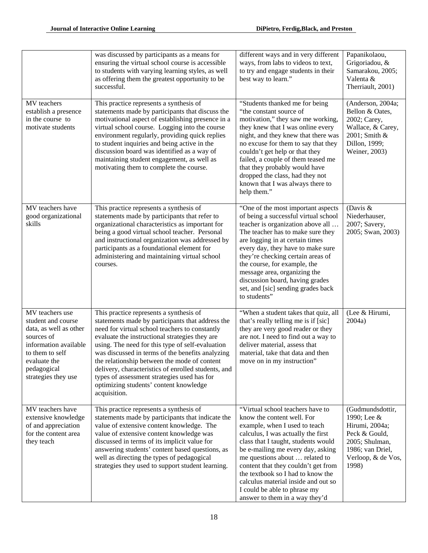|                                                                                                                                                                                 | was discussed by participants as a means for<br>ensuring the virtual school course is accessible<br>to students with varying learning styles, as well<br>as offering them the greatest opportunity to be<br>successful.                                                                                                                                                                                                                                                                                                 | different ways and in very different<br>ways, from labs to videos to text,<br>to try and engage students in their<br>best way to learn."                                                                                                                                                                                                                                                                                                 | Papanikolaou,<br>Grigoriadou, &<br>Samarakou, 2005;<br>Valenta &<br>Therriault, 2001)                                                   |
|---------------------------------------------------------------------------------------------------------------------------------------------------------------------------------|-------------------------------------------------------------------------------------------------------------------------------------------------------------------------------------------------------------------------------------------------------------------------------------------------------------------------------------------------------------------------------------------------------------------------------------------------------------------------------------------------------------------------|------------------------------------------------------------------------------------------------------------------------------------------------------------------------------------------------------------------------------------------------------------------------------------------------------------------------------------------------------------------------------------------------------------------------------------------|-----------------------------------------------------------------------------------------------------------------------------------------|
| MV teachers<br>establish a presence<br>in the course to<br>motivate students                                                                                                    | This practice represents a synthesis of<br>statements made by participants that discuss the<br>motivational aspect of establishing presence in a<br>virtual school course. Logging into the course<br>environment regularly, providing quick replies<br>to student inquiries and being active in the<br>discussion board was identified as a way of<br>maintaining student engagement, as well as<br>motivating them to complete the course.                                                                            | "Students thanked me for being<br>"the constant source of<br>motivation," they saw me working,<br>they knew that I was online every<br>night, and they knew that there was<br>no excuse for them to say that they<br>couldn't get help or that they<br>failed, a couple of them teased me<br>that they probably would have<br>dropped the class, had they not<br>known that I was always there to<br>help them."                         | (Anderson, 2004a;<br>Bellon & Oates,<br>2002; Carey,<br>Wallace, & Carey,<br>2001; Smith &<br>Dillon, 1999;<br>Weiner, 2003)            |
| MV teachers have<br>good organizational<br>skills                                                                                                                               | This practice represents a synthesis of<br>statements made by participants that refer to<br>organizational characteristics as important for<br>being a good virtual school teacher. Personal<br>and instructional organization was addressed by<br>participants as a foundational element for<br>administering and maintaining virtual school<br>courses.                                                                                                                                                               | "One of the most important aspects<br>of being a successful virtual school<br>teacher is organization above all<br>The teacher has to make sure they<br>are logging in at certain times<br>every day, they have to make sure<br>they're checking certain areas of<br>the course, for example, the<br>message area, organizing the<br>discussion board, having grades<br>set, and [sic] sending grades back<br>to students"               | (Davis $&$<br>Niederhauser,<br>2007; Savery,<br>2005; Swan, 2003)                                                                       |
| MV teachers use<br>student and course<br>data, as well as other<br>sources of<br>information available<br>to them to self<br>evaluate the<br>pedagogical<br>strategies they use | This practice represents a synthesis of<br>statements made by participants that address the<br>need for virtual school teachers to constantly<br>evaluate the instructional strategies they are<br>using. The need for this type of self-evaluation<br>was discussed in terms of the benefits analyzing<br>the relationship between the mode of content<br>delivery, characteristics of enrolled students, and<br>types of assessment strategies used has for<br>optimizing students' content knowledge<br>acquisition. | "When a student takes that quiz, all<br>that's really telling me is if [sic]<br>they are very good reader or they<br>are not. I need to find out a way to<br>deliver material, assess that<br>material, take that data and then<br>move on in my instruction"                                                                                                                                                                            | (Lee & Hirumi,<br>2004a)                                                                                                                |
| MV teachers have<br>extensive knowledge<br>of and appreciation<br>for the content area<br>they teach                                                                            | This practice represents a synthesis of<br>statements made by participants that indicate the<br>value of extensive content knowledge. The<br>value of extensive content knowledge was<br>discussed in terms of its implicit value for<br>answering students' content based questions, as<br>well as directing the types of pedagogical<br>strategies they used to support student learning.                                                                                                                             | "Virtual school teachers have to<br>know the content well. For<br>example, when I used to teach<br>calculus, I was actually the first<br>class that I taught, students would<br>be e-mailing me every day, asking<br>me questions about  related to<br>content that they couldn't get from<br>the textbook so I had to know the<br>calculus material inside and out so<br>I could be able to phrase my<br>answer to them in a way they'd | (Gudmundsdottir,<br>1990; Lee &<br>Hirumi, 2004a;<br>Peck & Gould,<br>2005; Shulman,<br>1986; van Driel,<br>Verloop, & de Vos,<br>1998) |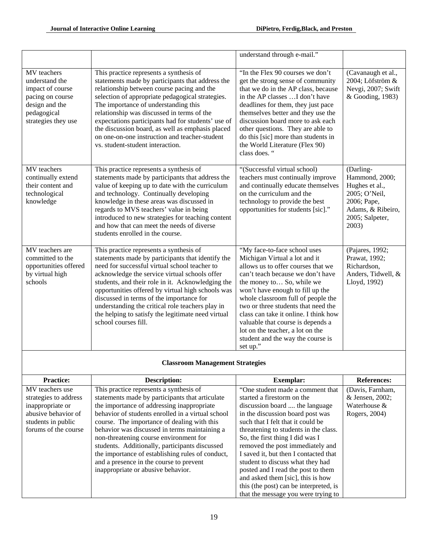|                                                                                                                               |                                                                                                                                                                                                                                                                                                                                                                                                                                                                                        | understand through e-mail."                                                                                                                                                                                                                                                                                                                                                                                                                               |                                                                                                                                |
|-------------------------------------------------------------------------------------------------------------------------------|----------------------------------------------------------------------------------------------------------------------------------------------------------------------------------------------------------------------------------------------------------------------------------------------------------------------------------------------------------------------------------------------------------------------------------------------------------------------------------------|-----------------------------------------------------------------------------------------------------------------------------------------------------------------------------------------------------------------------------------------------------------------------------------------------------------------------------------------------------------------------------------------------------------------------------------------------------------|--------------------------------------------------------------------------------------------------------------------------------|
| MV teachers<br>understand the<br>impact of course<br>pacing on course<br>design and the<br>pedagogical<br>strategies they use | This practice represents a synthesis of<br>statements made by participants that address the<br>relationship between course pacing and the<br>selection of appropriate pedagogical strategies.<br>The importance of understanding this<br>relationship was discussed in terms of the<br>expectations participants had for students' use of<br>the discussion board, as well as emphasis placed<br>on one-on-one instruction and teacher-student<br>vs. student-student interaction.     | "In the Flex 90 courses we don't<br>get the strong sense of community<br>that we do in the AP class, because<br>in the AP classes I don't have<br>deadlines for them, they just pace<br>themselves better and they use the<br>discussion board more to ask each<br>other questions. They are able to<br>do this [sic] more than students in<br>the World Literature (Flex 90)<br>class does. "                                                            | (Cavanaugh et al.,<br>2004; Löfström &<br>Nevgi, 2007; Swift<br>& Gooding, 1983)                                               |
| MV teachers<br>continually extend<br>their content and<br>technological<br>knowledge                                          | This practice represents a synthesis of<br>statements made by participants that address the<br>value of keeping up to date with the curriculum<br>and technology. Continually developing<br>knowledge in these areas was discussed in<br>regards to MVS teachers' value in being<br>introduced to new strategies for teaching content<br>and how that can meet the needs of diverse<br>students enrolled in the course.                                                                | "(Successful virtual school)<br>teachers must continually improve<br>and continually educate themselves<br>on the curriculum and the<br>technology to provide the best<br>opportunities for students [sic]."                                                                                                                                                                                                                                              | (Darling-<br>Hammond, 2000;<br>Hughes et al.,<br>2005; O'Neil,<br>2006; Pape,<br>Adams, & Ribeiro,<br>2005; Salpeter,<br>2003) |
| MV teachers are<br>committed to the<br>opportunities offered<br>by virtual high<br>schools                                    | This practice represents a synthesis of<br>statements made by participants that identify the<br>need for successful virtual school teacher to<br>acknowledge the service virtual schools offer<br>students, and their role in it. Acknowledging the<br>opportunities offered by virtual high schools was<br>discussed in terms of the importance for<br>understanding the critical role teachers play in<br>the helping to satisfy the legitimate need virtual<br>school courses fill. | "My face-to-face school uses<br>Michigan Virtual a lot and it<br>allows us to offer courses that we<br>can't teach because we don't have<br>the money to So, while we<br>won't have enough to fill up the<br>whole classroom full of people the<br>two or three students that need the<br>class can take it online. I think how<br>valuable that course is depends a<br>lot on the teacher, a lot on the<br>student and the way the course is<br>set up." | (Pajares, 1992;<br>Prawat, 1992;<br>Richardson,<br>Anders, Tidwell, &<br>Lloyd, 1992)                                          |

# **Classroom Management Strategies**

| <b>Practice:</b>      | <b>Description:</b>                               | <b>Exemplar:</b>                       | <b>References:</b> |
|-----------------------|---------------------------------------------------|----------------------------------------|--------------------|
| MV teachers use       | This practice represents a synthesis of           | "One student made a comment that       | (Davis, Farnham,   |
| strategies to address | statements made by participants that articulate   | started a firestorm on the             | & Jensen, 2002;    |
| inappropriate or      | the importance of addressing inappropriate        | discussion board  the language         | Waterhouse &       |
| abusive behavior of   | behavior of students enrolled in a virtual school | in the discussion board post was       | Rogers, 2004)      |
| students in public    | course. The importance of dealing with this       | such that I felt that it could be      |                    |
| forums of the course  | behavior was discussed in terms maintaining a     | threatening to students in the class.  |                    |
|                       | non-threatening course environment for            | So, the first thing I did was I        |                    |
|                       | students. Additionally, participants discussed    | removed the post immediately and       |                    |
|                       | the importance of establishing rules of conduct,  | I saved it, but then I contacted that  |                    |
|                       | and a presence in the course to prevent           | student to discuss what they had       |                    |
|                       | inappropriate or abusive behavior.                | posted and I read the post to them     |                    |
|                       |                                                   | and asked them [sic], this is how      |                    |
|                       |                                                   | this (the post) can be interpreted, is |                    |
|                       |                                                   | that the message you were trying to    |                    |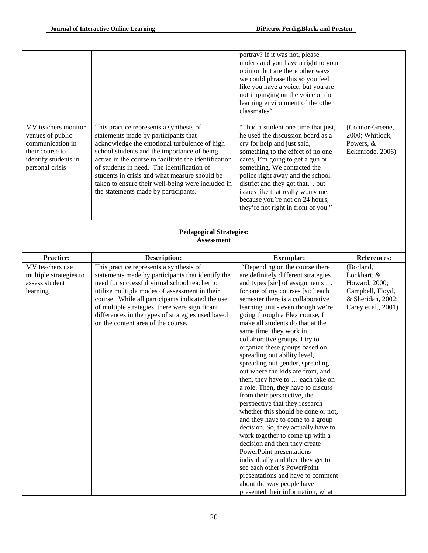|                                                                                                                           |                                                                                                                                                                                                                                                                                                                                                                                                                                     | portray? If it was not, please<br>understand you have a right to your<br>opinion but are there other ways<br>we could phrase this so you feel<br>like you have a voice, but you are<br>not impinging on the voice or the<br>learning environment of the other<br>classmates"                                                                                                                                                                                                                                                                                                                                                                                                                                                                                                                                                                                                                                                                                                                                                              |                                                                                                           |
|---------------------------------------------------------------------------------------------------------------------------|-------------------------------------------------------------------------------------------------------------------------------------------------------------------------------------------------------------------------------------------------------------------------------------------------------------------------------------------------------------------------------------------------------------------------------------|-------------------------------------------------------------------------------------------------------------------------------------------------------------------------------------------------------------------------------------------------------------------------------------------------------------------------------------------------------------------------------------------------------------------------------------------------------------------------------------------------------------------------------------------------------------------------------------------------------------------------------------------------------------------------------------------------------------------------------------------------------------------------------------------------------------------------------------------------------------------------------------------------------------------------------------------------------------------------------------------------------------------------------------------|-----------------------------------------------------------------------------------------------------------|
| MV teachers monitor<br>venues of public<br>communication in<br>their course to<br>identify students in<br>personal crisis | This practice represents a synthesis of<br>statements made by participants that<br>acknowledge the emotional turbulence of high<br>school students and the importance of being<br>active in the course to facilitate the identification<br>of students in need. The identification of<br>students in crisis and what measure should be<br>taken to ensure their well-being were included in<br>the statements made by participants. | "I had a student one time that just,<br>he used the discussion board as a<br>cry for help and just said,<br>something to the effect of no one<br>cares, I'm going to get a gun or<br>something. We contacted the<br>police right away and the school<br>district and they got that but<br>issues like that really worry me,<br>because you're not on 24 hours,<br>they're not right in front of you."                                                                                                                                                                                                                                                                                                                                                                                                                                                                                                                                                                                                                                     | (Connor-Greene,<br>2000; Whitlock,<br>Powers, &<br>Eckenrode, 2006)                                       |
|                                                                                                                           | <b>Pedagogical Strategies:</b><br><b>Assessment</b>                                                                                                                                                                                                                                                                                                                                                                                 |                                                                                                                                                                                                                                                                                                                                                                                                                                                                                                                                                                                                                                                                                                                                                                                                                                                                                                                                                                                                                                           |                                                                                                           |
| <b>Practice:</b>                                                                                                          | <b>Description:</b>                                                                                                                                                                                                                                                                                                                                                                                                                 | <b>Exemplar:</b>                                                                                                                                                                                                                                                                                                                                                                                                                                                                                                                                                                                                                                                                                                                                                                                                                                                                                                                                                                                                                          | <b>References:</b>                                                                                        |
| MV teachers use<br>multiple strategies to<br>assess student<br>learning                                                   | This practice represents a synthesis of<br>statements made by participants that identify the<br>need for successful virtual school teacher to<br>utilize multiple modes of assessment in their<br>course. While all participants indicated the use<br>of multiple strategies, there were significant<br>differences in the types of strategies used based<br>on the content area of the course.                                     | "Depending on the course there<br>are definitely different strategies<br>and types [sic] of assignments<br>for one of my courses [sic] each<br>semester there is a collaborative<br>learning unit - even though we're<br>going through a Flex course, I<br>make all students do that at the<br>same time, they work in<br>collaborative groups. I try to<br>organize these groups based on<br>spreading out ability level,<br>spreading out gender, spreading<br>out where the kids are from, and<br>then, they have to  each take on<br>a role. Then, they have to discuss<br>from their perspective, the<br>perspective that they research<br>whether this should be done or not,<br>and they have to come to a group<br>decision. So, they actually have to<br>work together to come up with a<br>decision and then they create<br>PowerPoint presentations<br>individually and then they get to<br>see each other's PowerPoint<br>presentations and have to comment<br>about the way people have<br>presented their information, what | (Borland,<br>Lockhart, &<br>Howard, 2000;<br>Campbell, Floyd,<br>& Sheridan, 2002;<br>Carey et al., 2001) |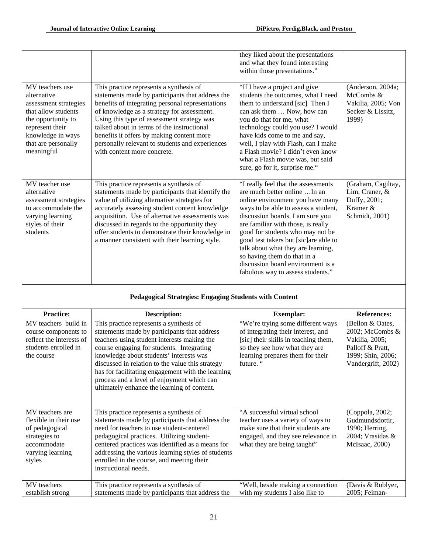|                                                                                                                                                                                   |                                                                                                                                                                                                                                                                                                                                                                                                                          | they liked about the presentations<br>and what they found interesting<br>within those presentations."                                                                                                                                                                                                                                                                                                                                                  |                                                                                    |
|-----------------------------------------------------------------------------------------------------------------------------------------------------------------------------------|--------------------------------------------------------------------------------------------------------------------------------------------------------------------------------------------------------------------------------------------------------------------------------------------------------------------------------------------------------------------------------------------------------------------------|--------------------------------------------------------------------------------------------------------------------------------------------------------------------------------------------------------------------------------------------------------------------------------------------------------------------------------------------------------------------------------------------------------------------------------------------------------|------------------------------------------------------------------------------------|
| MV teachers use<br>alternative<br>assessment strategies<br>that allow students<br>the opportunity to<br>represent their<br>knowledge in ways<br>that are personally<br>meaningful | This practice represents a synthesis of<br>statements made by participants that address the<br>benefits of integrating personal representations<br>of knowledge as a strategy for assessment.<br>Using this type of assessment strategy was<br>talked about in terms of the instructional<br>benefits it offers by making content more<br>personally relevant to students and experiences<br>with content more concrete. | "If I have a project and give<br>students the outcomes, what I need<br>them to understand [sic] Then I<br>can ask them  Now, how can<br>you do that for me, what<br>technology could you use? I would<br>have kids come to me and say,<br>well, I play with Flash, can I make<br>a Flash movie? I didn't even know<br>what a Flash movie was, but said<br>sure, go for it, surprise me."                                                               | (Anderson, 2004a;<br>McCombs &<br>Vakilia, 2005; Von<br>Secker & Lissitz,<br>1999) |
| MV teacher use<br>alternative<br>assessment strategies<br>to accommodate the<br>varying learning<br>styles of their<br>students                                                   | This practice represents a synthesis of<br>statements made by participants that identify the<br>value of utilizing alternative strategies for<br>accurately assessing student content knowledge<br>acquisition. Use of alternative assessments was<br>discussed in regards to the opportunity they<br>offer students to demonstrate their knowledge in<br>a manner consistent with their learning style.                 | "I really feel that the assessments<br>are much better online  In an<br>online environment you have many<br>ways to be able to assess a student,<br>discussion boards. I am sure you<br>are familiar with those, is really<br>good for students who may not be<br>good test takers but [sic]are able to<br>talk about what they are learning,<br>so having them do that in a<br>discussion board environment is a<br>fabulous way to assess students." | (Graham, Cagiltay,<br>Lim, Craner, &<br>Duffy, 2001;<br>Krämer &<br>Schmidt, 2001) |
|                                                                                                                                                                                   |                                                                                                                                                                                                                                                                                                                                                                                                                          |                                                                                                                                                                                                                                                                                                                                                                                                                                                        |                                                                                    |

## **Pedagogical Strategies: Engaging Students with Content**

| <b>Practice:</b>                                                                                                         | <b>Description:</b>                                                                                                                                                                                                                                                                                                                                                                                                                  | <b>Exemplar:</b>                                                                                                                                                                                  | <b>References:</b>                                                                                                      |
|--------------------------------------------------------------------------------------------------------------------------|--------------------------------------------------------------------------------------------------------------------------------------------------------------------------------------------------------------------------------------------------------------------------------------------------------------------------------------------------------------------------------------------------------------------------------------|---------------------------------------------------------------------------------------------------------------------------------------------------------------------------------------------------|-------------------------------------------------------------------------------------------------------------------------|
| MV teachers build in<br>course components to<br>reflect the interests of<br>students enrolled in<br>the course           | This practice represents a synthesis of<br>statements made by participants that address<br>teachers using student interests making the<br>course engaging for students. Integrating<br>knowledge about students' interests was<br>discussed in relation to the value this strategy<br>has for facilitating engagement with the learning<br>process and a level of enjoyment which can<br>ultimately enhance the learning of content. | "We're trying some different ways<br>of integrating their interest, and<br>[sic] their skills in teaching them,<br>so they see how what they are<br>learning prepares them for their<br>future. " | (Bellon & Oates,<br>2002; McCombs $\&$<br>Vakilia, 2005;<br>Palloff & Pratt,<br>1999; Shin, 2006;<br>Vandergrift, 2002) |
| MV teachers are<br>flexible in their use<br>of pedagogical<br>strategies to<br>accommodate<br>varying learning<br>styles | This practice represents a synthesis of<br>statements made by participants that address the<br>need for teachers to use student-centered<br>pedagogical practices. Utilizing student-<br>centered practices was identified as a means for<br>addressing the various learning styles of students<br>enrolled in the course, and meeting their<br>instructional needs.                                                                 | "A successful virtual school"<br>teacher uses a variety of ways to<br>make sure that their students are<br>engaged, and they see relevance in<br>what they are being taught"                      | (Coppola, 2002;<br>Gudmundsdottir,<br>1990; Herring,<br>2004; Vrasidas &<br>McIsaac, 2000)                              |
| MV teachers<br>establish strong                                                                                          | This practice represents a synthesis of<br>statements made by participants that address the                                                                                                                                                                                                                                                                                                                                          | "Well, beside making a connection<br>with my students I also like to                                                                                                                              | (Davis & Roblyer,<br>2005; Feiman-                                                                                      |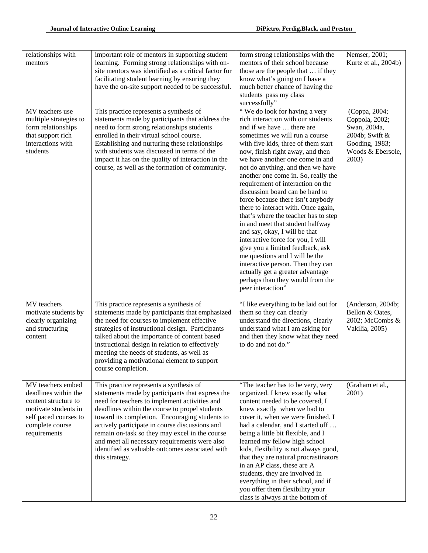| relationships with<br>mentors                                                                                                                         | important role of mentors in supporting student<br>learning. Forming strong relationships with on-<br>site mentors was identified as a critical factor for<br>facilitating student learning by ensuring they<br>have the on-site support needed to be successful.                                                                                                                                                                                                          | form strong relationships with the<br>mentors of their school because<br>those are the people that  if they<br>know what's going on I have a<br>much better chance of having the<br>students pass my class<br>successfully"                                                                                                                                                                                                                                                                                                                                                                                                                                                                                                                                                                                                                | Nemser, 2001;<br>Kurtz et al., 2004b)                                                                             |
|-------------------------------------------------------------------------------------------------------------------------------------------------------|----------------------------------------------------------------------------------------------------------------------------------------------------------------------------------------------------------------------------------------------------------------------------------------------------------------------------------------------------------------------------------------------------------------------------------------------------------------------------|--------------------------------------------------------------------------------------------------------------------------------------------------------------------------------------------------------------------------------------------------------------------------------------------------------------------------------------------------------------------------------------------------------------------------------------------------------------------------------------------------------------------------------------------------------------------------------------------------------------------------------------------------------------------------------------------------------------------------------------------------------------------------------------------------------------------------------------------|-------------------------------------------------------------------------------------------------------------------|
| MV teachers use<br>multiple strategies to<br>form relationships<br>that support rich<br>interactions with<br>students                                 | This practice represents a synthesis of<br>statements made by participants that address the<br>need to form strong relationships students<br>enrolled in their virtual school course.<br>Establishing and nurturing these relationships<br>with students was discussed in terms of the<br>impact it has on the quality of interaction in the<br>course, as well as the formation of community.                                                                             | "We do look for having a very<br>rich interaction with our students<br>and if we have  there are<br>sometimes we will run a course<br>with five kids, three of them start<br>now, finish right away, and then<br>we have another one come in and<br>not do anything, and then we have<br>another one come in. So, really the<br>requirement of interaction on the<br>discussion board can be hard to<br>force because there isn't anybody<br>there to interact with. Once again,<br>that's where the teacher has to step<br>in and meet that student halfway<br>and say, okay, I will be that<br>interactive force for you, I will<br>give you a limited feedback, ask<br>me questions and I will be the<br>interactive person. Then they can<br>actually get a greater advantage<br>perhaps than they would from the<br>peer interaction" | (Coppa, 2004;<br>Coppola, 2002;<br>Swan, 2004a,<br>2004b; Swift &<br>Gooding, 1983;<br>Woods & Ebersole,<br>2003) |
| MV teachers<br>motivate students by<br>clearly organizing<br>and structuring<br>content                                                               | This practice represents a synthesis of<br>statements made by participants that emphasized<br>the need for courses to implement effective<br>strategies of instructional design. Participants<br>talked about the importance of content based<br>instructional design in relation to effectively<br>meeting the needs of students, as well as<br>providing a motivational element to support<br>course completion.                                                         | "I like everything to be laid out for<br>them so they can clearly<br>understand the directions, clearly<br>understand what I am asking for<br>and then they know what they need<br>to do and not do."                                                                                                                                                                                                                                                                                                                                                                                                                                                                                                                                                                                                                                      | (Anderson, 2004b;<br>Bellon & Oates,<br>2002; McCombs &<br>Vakilia, 2005)                                         |
| MV teachers embed<br>deadlines within the<br>content structure to<br>motivate students in<br>self paced courses to<br>complete course<br>requirements | This practice represents a synthesis of<br>statements made by participants that express the<br>need for teachers to implement activities and<br>deadlines within the course to propel students<br>toward its completion. Encouraging students to<br>actively participate in course discussions and<br>remain on-task so they may excel in the course<br>and meet all necessary requirements were also<br>identified as valuable outcomes associated with<br>this strategy. | "The teacher has to be very, very<br>organized. I knew exactly what<br>content needed to be covered, I<br>knew exactly when we had to<br>cover it, when we were finished. I<br>had a calendar, and I started off<br>being a little bit flexible, and I<br>learned my fellow high school<br>kids, flexibility is not always good,<br>that they are natural procrastinators<br>in an AP class, these are A<br>students, they are involved in<br>everything in their school, and if<br>you offer them flexibility your<br>class is always at the bottom of                                                                                                                                                                                                                                                                                    | (Graham et al.,<br>2001)                                                                                          |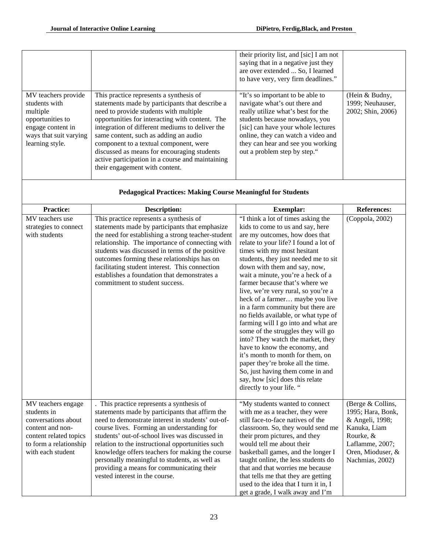|                                                                                                                                        |                                                                                                                                                                                                                                                                                                                                                                                                                                                                    | their priority list, and [sic] I am not<br>saying that in a negative just they<br>are over extended  So, I learned<br>to have very, very firm deadlines."                                                                                                                                  |                                                         |
|----------------------------------------------------------------------------------------------------------------------------------------|--------------------------------------------------------------------------------------------------------------------------------------------------------------------------------------------------------------------------------------------------------------------------------------------------------------------------------------------------------------------------------------------------------------------------------------------------------------------|--------------------------------------------------------------------------------------------------------------------------------------------------------------------------------------------------------------------------------------------------------------------------------------------|---------------------------------------------------------|
| MV teachers provide<br>students with<br>multiple<br>opportunities to<br>engage content in<br>ways that suit varying<br>learning style. | This practice represents a synthesis of<br>statements made by participants that describe a<br>need to provide students with multiple<br>opportunities for interacting with content. The<br>integration of different mediums to deliver the<br>same content, such as adding an audio<br>component to a textual component, were<br>discussed as means for encouraging students<br>active participation in a course and maintaining<br>their engagement with content. | "It's so important to be able to<br>navigate what's out there and<br>really utilize what's best for the<br>students because nowadays, you<br>[sic] can have your whole lectures<br>online, they can watch a video and<br>they can hear and see you working<br>out a problem step by step." | (Hein & Budny,<br>1999: Neuhauser.<br>2002; Shin, 2006) |

| <b>Pedagogical Practices: Making Course Meaningful for Students</b>                                                                                   |                                                                                                                                                                                                                                                                                                                                                                                                                                                                                        |                                                                                                                                                                                                                                                                                                                                                                                                                                                                                                                                                                                                                                                                                                                                                                                                                       |                                                                                                                                                   |
|-------------------------------------------------------------------------------------------------------------------------------------------------------|----------------------------------------------------------------------------------------------------------------------------------------------------------------------------------------------------------------------------------------------------------------------------------------------------------------------------------------------------------------------------------------------------------------------------------------------------------------------------------------|-----------------------------------------------------------------------------------------------------------------------------------------------------------------------------------------------------------------------------------------------------------------------------------------------------------------------------------------------------------------------------------------------------------------------------------------------------------------------------------------------------------------------------------------------------------------------------------------------------------------------------------------------------------------------------------------------------------------------------------------------------------------------------------------------------------------------|---------------------------------------------------------------------------------------------------------------------------------------------------|
| <b>Practice:</b>                                                                                                                                      | <b>Description:</b>                                                                                                                                                                                                                                                                                                                                                                                                                                                                    | <b>Exemplar:</b>                                                                                                                                                                                                                                                                                                                                                                                                                                                                                                                                                                                                                                                                                                                                                                                                      | <b>References:</b>                                                                                                                                |
| MV teachers use<br>strategies to connect<br>with students                                                                                             | This practice represents a synthesis of<br>statements made by participants that emphasize<br>the need for establishing a strong teacher-student<br>relationship. The importance of connecting with<br>students was discussed in terms of the positive<br>outcomes forming these relationships has on<br>facilitating student interest. This connection<br>establishes a foundation that demonstrates a<br>commitment to student success.                                               | "I think a lot of times asking the<br>kids to come to us and say, here<br>are my outcomes, how does that<br>relate to your life? I found a lot of<br>times with my most hesitant<br>students, they just needed me to sit<br>down with them and say, now,<br>wait a minute, you're a heck of a<br>farmer because that's where we<br>live, we're very rural, so you're a<br>heck of a farmer maybe you live<br>in a farm community but there are<br>no fields available, or what type of<br>farming will I go into and what are<br>some of the struggles they will go<br>into? They watch the market, they<br>have to know the economy, and<br>it's month to month for them, on<br>paper they're broke all the time.<br>So, just having them come in and<br>say, how [sic] does this relate<br>directly to your life. " | (Coppola, 2002)                                                                                                                                   |
| MV teachers engage<br>students in<br>conversations about<br>content and non-<br>content related topics<br>to form a relationship<br>with each student | This practice represents a synthesis of<br>statements made by participants that affirm the<br>need to demonstrate interest in students' out-of-<br>course lives. Forming an understanding for<br>students' out-of-school lives was discussed in<br>relation to the instructional opportunities such<br>knowledge offers teachers for making the course<br>personally meaningful to students, as well as<br>providing a means for communicating their<br>vested interest in the course. | "My students wanted to connect<br>with me as a teacher, they were<br>still face-to-face natives of the<br>classroom. So, they would send me<br>their prom pictures, and they<br>would tell me about their<br>basketball games, and the longer I<br>taught online, the less students do<br>that and that worries me because<br>that tells me that they are getting<br>used to the idea that I turn it in, I<br>get a grade, I walk away and I'm                                                                                                                                                                                                                                                                                                                                                                        | (Berge & Collins,<br>1995; Hara, Bonk,<br>& Angeli, 1998;<br>Kanuka, Liam<br>Rourke, &<br>Laflamme, 2007;<br>Oren, Mioduser, &<br>Nachmias, 2002) |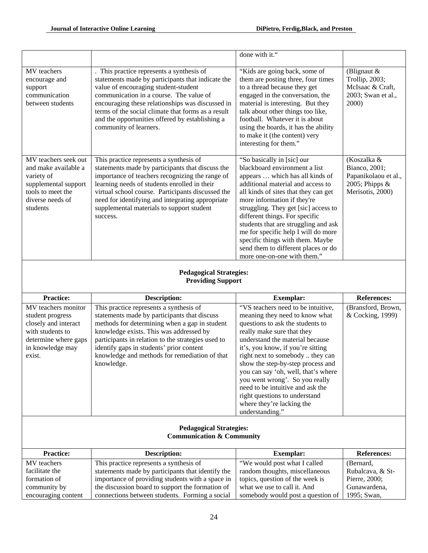|                                                                                                                                         |                                                                                                                                                                                                                                                                                                                                                                        | done with it."                                                                                                                                                                                                                                                                                                                                                                                                                                                                |                                                                                            |
|-----------------------------------------------------------------------------------------------------------------------------------------|------------------------------------------------------------------------------------------------------------------------------------------------------------------------------------------------------------------------------------------------------------------------------------------------------------------------------------------------------------------------|-------------------------------------------------------------------------------------------------------------------------------------------------------------------------------------------------------------------------------------------------------------------------------------------------------------------------------------------------------------------------------------------------------------------------------------------------------------------------------|--------------------------------------------------------------------------------------------|
| MV teachers<br>encourage and<br>support<br>communication<br>between students                                                            | This practice represents a synthesis of<br>statements made by participants that indicate the<br>value of encouraging student-student<br>communication in a course. The value of<br>encouraging these relationships was discussed in<br>terms of the social climate that forms as a result<br>and the opportunities offered by establishing a<br>community of learners. | "Kids are going back, some of<br>them are posting three, four times<br>to a thread because they get<br>engaged in the conversation, the<br>material is interesting. But they<br>talk about other things too like,<br>football. Whatever it is about<br>using the boards, it has the ability<br>to make it (the content) very<br>interesting for them."                                                                                                                        | (Blignaut $&$<br>Trollip, 2003;<br>McIsaac & Craft,<br>2003; Swan et al.,<br>2000)         |
| MV teachers seek out<br>and make available a<br>variety of<br>supplemental support<br>tools to meet the<br>diverse needs of<br>students | This practice represents a synthesis of<br>statements made by participants that discuss the<br>importance of teachers recognizing the range of<br>learning needs of students enrolled in their<br>virtual school course. Participants discussed the<br>need for identifying and integrating appropriate<br>supplemental materials to support student<br>success.       | "So basically in [sic] our<br>blackboard environment a list<br>appears  which has all kinds of<br>additional material and access to<br>all kinds of sites that they can get<br>more information if they're<br>struggling. They get [sic] access to<br>different things. For specific<br>students that are struggling and ask<br>me for specific help I will do more<br>specific things with them. Maybe<br>send them to different places or do<br>more one-on-one with them." | (Koszalka &<br>Bianco, 2001;<br>Papanikolaou et al.,<br>2005; Phipps &<br>Merisotis, 2000) |
|                                                                                                                                         | <b>Pedagogical Strategies:</b><br><b>Providing Support</b>                                                                                                                                                                                                                                                                                                             |                                                                                                                                                                                                                                                                                                                                                                                                                                                                               |                                                                                            |
| <b>Practice:</b>                                                                                                                        | <b>Description:</b>                                                                                                                                                                                                                                                                                                                                                    | <b>Exemplar:</b>                                                                                                                                                                                                                                                                                                                                                                                                                                                              | <b>References:</b>                                                                         |
| MV teachers monitor<br>student progress<br>closely and interact<br>with students to                                                     | This practice represents a synthesis of<br>statements made by participants that discuss                                                                                                                                                                                                                                                                                | "VS teachers need to be intuitive,                                                                                                                                                                                                                                                                                                                                                                                                                                            | (Bransford, Brown,                                                                         |
| determine where gaps<br>in knowledge may<br>exist.                                                                                      | methods for determining when a gap in student<br>knowledge exists. This was addressed by<br>participants in relation to the strategies used to<br>identify gaps in students' prior content<br>knowledge and methods for remediation of that<br>knowledge.                                                                                                              | meaning they need to know what<br>questions to ask the students to<br>really make sure that they<br>understand the material because<br>it's, you know, if you're sitting<br>right next to somebody  they can<br>show the step-by-step process and<br>you can say 'oh, well, that's where<br>you went wrong'. So you really<br>need to be intuitive and ask the<br>right questions to understand<br>where they're lacking the<br>understanding."                               | & Cocking, 1999)                                                                           |
|                                                                                                                                         | <b>Pedagogical Strategies:</b><br><b>Communication &amp; Community</b>                                                                                                                                                                                                                                                                                                 |                                                                                                                                                                                                                                                                                                                                                                                                                                                                               |                                                                                            |
| <b>Practice:</b><br>MV teachers                                                                                                         | <b>Description:</b><br>This practice represents a synthesis of                                                                                                                                                                                                                                                                                                         | <b>Exemplar:</b><br>"We would post what I called                                                                                                                                                                                                                                                                                                                                                                                                                              | <b>References:</b>                                                                         |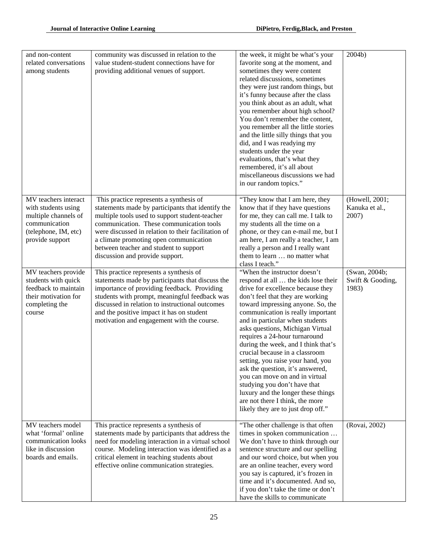| and non-content<br>related conversations<br>among students                                                                      | community was discussed in relation to the<br>value student-student connections have for<br>providing additional venues of support.                                                                                                                                                                                                                                      | the week, it might be what's your<br>favorite song at the moment, and<br>sometimes they were content<br>related discussions, sometimes<br>they were just random things, but<br>it's funny because after the class<br>you think about as an adult, what<br>you remember about high school?<br>You don't remember the content,<br>you remember all the little stories<br>and the little silly things that you<br>did, and I was readying my<br>students under the year<br>evaluations, that's what they<br>remembered, it's all about<br>miscellaneous discussions we had<br>in our random topics."                                                                 | 2004b)                                     |
|---------------------------------------------------------------------------------------------------------------------------------|--------------------------------------------------------------------------------------------------------------------------------------------------------------------------------------------------------------------------------------------------------------------------------------------------------------------------------------------------------------------------|-------------------------------------------------------------------------------------------------------------------------------------------------------------------------------------------------------------------------------------------------------------------------------------------------------------------------------------------------------------------------------------------------------------------------------------------------------------------------------------------------------------------------------------------------------------------------------------------------------------------------------------------------------------------|--------------------------------------------|
| MV teachers interact<br>with students using<br>multiple channels of<br>communication<br>(telephone, IM, etc)<br>provide support | This practice represents a synthesis of<br>statements made by participants that identify the<br>multiple tools used to support student-teacher<br>communication. These communication tools<br>were discussed in relation to their facilitation of<br>a climate promoting open communication<br>between teacher and student to support<br>discussion and provide support. | "They know that I am here, they<br>know that if they have questions<br>for me, they can call me. I talk to<br>my students all the time on a<br>phone, or they can e-mail me, but I<br>am here, I am really a teacher, I am<br>really a person and I really want<br>them to learn  no matter what<br>class I teach."                                                                                                                                                                                                                                                                                                                                               | (Howell, 2001;<br>Kanuka et al.,<br>2007)  |
| MV teachers provide<br>students with quick<br>feedback to maintain<br>their motivation for<br>completing the<br>course          | This practice represents a synthesis of<br>statements made by participants that discuss the<br>importance of providing feedback. Providing<br>students with prompt, meaningful feedback was<br>discussed in relation to instructional outcomes<br>and the positive impact it has on student<br>motivation and engagement with the course.                                | "When the instructor doesn't<br>respond at all  the kids lose their<br>drive for excellence because they<br>don't feel that they are working<br>toward impressing anyone. So, the<br>communication is really important<br>and in particular when students<br>asks questions, Michigan Virtual<br>requires a 24-hour turnaround<br>during the week, and I think that's<br>crucial because in a classroom<br>setting, you raise your hand, you<br>ask the question, it's answered,<br>you can move on and in virtual<br>studying you don't have that<br>luxury and the longer these things<br>are not there I think, the more<br>likely they are to just drop off." | (Swan, 2004b;<br>Swift & Gooding,<br>1983) |
| MV teachers model<br>what 'formal' online<br>communication looks<br>like in discussion<br>boards and emails.                    | This practice represents a synthesis of<br>statements made by participants that address the<br>need for modeling interaction in a virtual school<br>course. Modeling interaction was identified as a<br>critical element in teaching students about<br>effective online communication strategies.                                                                        | "The other challenge is that often<br>times in spoken communication<br>We don't have to think through our<br>sentence structure and our spelling<br>and our word choice, but when you<br>are an online teacher, every word<br>you say is captured, it's frozen in<br>time and it's documented. And so,<br>if you don't take the time or don't<br>have the skills to communicate                                                                                                                                                                                                                                                                                   | (Rovai, 2002)                              |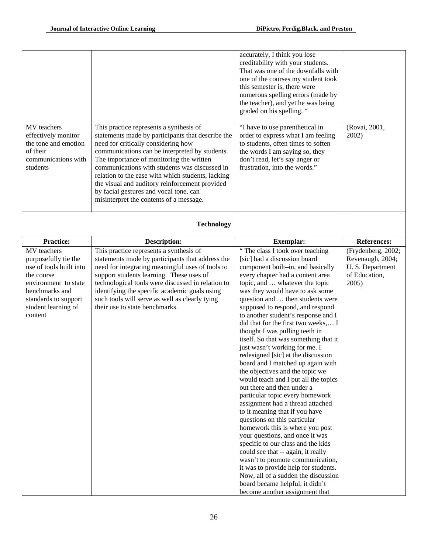|                                                                                                                                                                                  |                                                                                                                                                                                                                                                                                                                                                                                                                                                                                | accurately, I think you lose<br>creditability with your students.<br>That was one of the downfalls with<br>one of the courses my student took<br>this semester is, there were<br>numerous spelling errors (made by<br>the teacher), and yet he was being<br>graded on his spelling. "                                                                                                                                                                                                                                                                                                                                                                                                                                                                                                                                                                                                                                                                                                                                                                                                                                                                  |                                                                                     |
|----------------------------------------------------------------------------------------------------------------------------------------------------------------------------------|--------------------------------------------------------------------------------------------------------------------------------------------------------------------------------------------------------------------------------------------------------------------------------------------------------------------------------------------------------------------------------------------------------------------------------------------------------------------------------|--------------------------------------------------------------------------------------------------------------------------------------------------------------------------------------------------------------------------------------------------------------------------------------------------------------------------------------------------------------------------------------------------------------------------------------------------------------------------------------------------------------------------------------------------------------------------------------------------------------------------------------------------------------------------------------------------------------------------------------------------------------------------------------------------------------------------------------------------------------------------------------------------------------------------------------------------------------------------------------------------------------------------------------------------------------------------------------------------------------------------------------------------------|-------------------------------------------------------------------------------------|
| MV teachers<br>effectively monitor<br>the tone and emotion<br>of their<br>communications with<br>students                                                                        | This practice represents a synthesis of<br>statements made by participants that describe the<br>need for critically considering how<br>communications can be interpreted by students.<br>The importance of monitoring the written<br>communications with students was discussed in<br>relation to the ease with which students, lacking<br>the visual and auditory reinforcement provided<br>by facial gestures and vocal tone, can<br>misinterpret the contents of a message. | "I have to use parenthetical in<br>order to express what I am feeling<br>to students, often times to soften<br>the words I am saying so, they<br>don't read, let's say anger or<br>frustration, into the words."                                                                                                                                                                                                                                                                                                                                                                                                                                                                                                                                                                                                                                                                                                                                                                                                                                                                                                                                       | (Rovai, 2001,<br>2002)                                                              |
|                                                                                                                                                                                  | <b>Technology</b>                                                                                                                                                                                                                                                                                                                                                                                                                                                              |                                                                                                                                                                                                                                                                                                                                                                                                                                                                                                                                                                                                                                                                                                                                                                                                                                                                                                                                                                                                                                                                                                                                                        |                                                                                     |
| <b>Practice:</b>                                                                                                                                                                 | <b>Description:</b>                                                                                                                                                                                                                                                                                                                                                                                                                                                            | <b>Exemplar:</b>                                                                                                                                                                                                                                                                                                                                                                                                                                                                                                                                                                                                                                                                                                                                                                                                                                                                                                                                                                                                                                                                                                                                       | <b>References:</b>                                                                  |
| MV teachers<br>purposefully tie the<br>use of tools built into<br>the course<br>environment to state<br>benchmarks and<br>standards to support<br>student learning of<br>content | This practice represents a synthesis of<br>statements made by participants that address the<br>need for integrating meaningful uses of tools to<br>support students learning. These uses of<br>technological tools were discussed in relation to<br>identifying the specific academic goals using<br>such tools will serve as well as clearly tying<br>their use to state benchmarks.                                                                                          | "The class I took over teaching<br>[sic] had a discussion board<br>component built-in, and basically<br>every chapter had a content area<br>topic, and  whatever the topic<br>was they would have to ask some<br>question and  then students were<br>supposed to respond, and respond<br>to another student's response and I<br>did that for the first two weeks, I<br>thought I was pulling teeth in<br>itself. So that was something that it<br>just wasn't working for me. I<br>redesigned [sic] at the discussion<br>board and I matched up again with<br>the objectives and the topic we<br>would teach and I put all the topics<br>out there and then under a<br>particular topic every homework<br>assignment had a thread attached<br>to it meaning that if you have<br>questions on this particular<br>homework this is where you post<br>your questions, and once it was<br>specific to our class and the kids<br>could see that -- again, it really<br>wasn't to promote communication,<br>it was to provide help for students.<br>Now, all of a sudden the discussion<br>board became helpful, it didn't<br>become another assignment that | (Frydenberg, 2002;<br>Revenaugh, 2004;<br>U.S. Department<br>of Education,<br>2005) |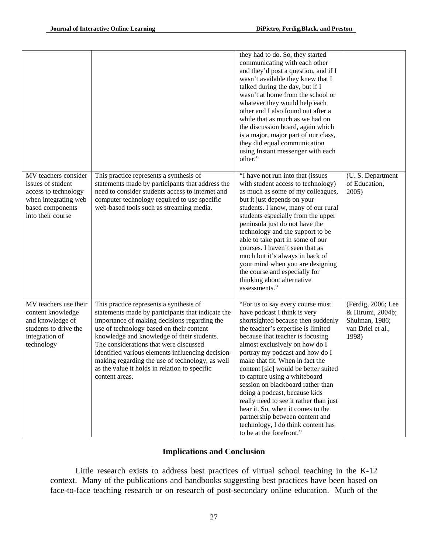|                                                                                                                                    |                                                                                                                                                                                                                                                                                                                                                                                                                                                             | they had to do. So, they started<br>communicating with each other<br>and they'd post a question, and if I<br>wasn't available they knew that I<br>talked during the day, but if I<br>wasn't at home from the school or<br>whatever they would help each<br>other and I also found out after a<br>while that as much as we had on<br>the discussion board, again which<br>is a major, major part of our class,<br>they did equal communication<br>using Instant messenger with each<br>other."                                                                                                                               |                                                                                        |
|------------------------------------------------------------------------------------------------------------------------------------|-------------------------------------------------------------------------------------------------------------------------------------------------------------------------------------------------------------------------------------------------------------------------------------------------------------------------------------------------------------------------------------------------------------------------------------------------------------|-----------------------------------------------------------------------------------------------------------------------------------------------------------------------------------------------------------------------------------------------------------------------------------------------------------------------------------------------------------------------------------------------------------------------------------------------------------------------------------------------------------------------------------------------------------------------------------------------------------------------------|----------------------------------------------------------------------------------------|
| MV teachers consider<br>issues of student<br>access to technology<br>when integrating web<br>based components<br>into their course | This practice represents a synthesis of<br>statements made by participants that address the<br>need to consider students access to internet and<br>computer technology required to use specific<br>web-based tools such as streaming media.                                                                                                                                                                                                                 | "I have not run into that (issues<br>with student access to technology)<br>as much as some of my colleagues,<br>but it just depends on your<br>students. I know, many of our rural<br>students especially from the upper<br>peninsula just do not have the<br>technology and the support to be<br>able to take part in some of our<br>courses. I haven't seen that as<br>much but it's always in back of<br>your mind when you are designing<br>the course and especially for<br>thinking about alternative<br>assessments."                                                                                                | (U.S. Department<br>of Education,<br>2005)                                             |
| MV teachers use their<br>content knowledge<br>and knowledge of<br>students to drive the<br>integration of<br>technology            | This practice represents a synthesis of<br>statements made by participants that indicate the<br>importance of making decisions regarding the<br>use of technology based on their content<br>knowledge and knowledge of their students.<br>The considerations that were discussed<br>identified various elements influencing decision-<br>making regarding the use of technology, as well<br>as the value it holds in relation to specific<br>content areas. | "For us to say every course must<br>have podcast I think is very<br>shortsighted because then suddenly<br>the teacher's expertise is limited<br>because that teacher is focusing<br>almost exclusively on how do I<br>portray my podcast and how do I<br>make that fit. When in fact the<br>content [sic] would be better suited<br>to capture using a whiteboard<br>session on blackboard rather than<br>doing a podcast, because kids<br>really need to see it rather than just<br>hear it. So, when it comes to the<br>partnership between content and<br>technology, I do think content has<br>to be at the forefront." | (Ferdig, 2006; Lee<br>& Hirumi, 2004b;<br>Shulman, 1986;<br>van Driel et al.,<br>1998) |

# **Implications and Conclusion**

Little research exists to address best practices of virtual school teaching in the K-12 context. Many of the publications and handbooks suggesting best practices have been based on face-to-face teaching research or on research of post-secondary online education. Much of the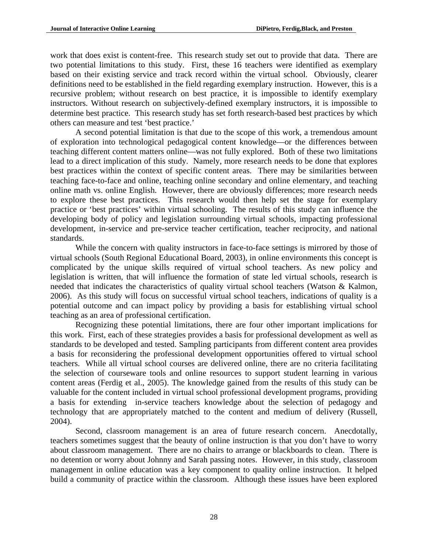work that does exist is content-free. This research study set out to provide that data. There are two potential limitations to this study. First, these 16 teachers were identified as exemplary based on their existing service and track record within the virtual school. Obviously, clearer definitions need to be established in the field regarding exemplary instruction. However, this is a recursive problem; without research on best practice, it is impossible to identify exemplary instructors. Without research on subjectively-defined exemplary instructors, it is impossible to determine best practice. This research study has set forth research-based best practices by which others can measure and test 'best practice.'

 A second potential limitation is that due to the scope of this work, a tremendous amount of exploration into technological pedagogical content knowledge—or the differences between teaching different content matters online—was not fully explored. Both of these two limitations lead to a direct implication of this study. Namely, more research needs to be done that explores best practices within the context of specific content areas. There may be similarities between teaching face-to-face and online, teaching online secondary and online elementary, and teaching online math vs. online English. However, there are obviously differences; more research needs to explore these best practices. This research would then help set the stage for exemplary practice or 'best practices' within virtual schooling. The results of this study can influence the developing body of policy and legislation surrounding virtual schools, impacting professional development, in-service and pre-service teacher certification, teacher reciprocity, and national standards.

While the concern with quality instructors in face-to-face settings is mirrored by those of virtual schools (South Regional Educational Board, 2003), in online environments this concept is complicated by the unique skills required of virtual school teachers. As new policy and legislation is written, that will influence the formation of state led virtual schools, research is needed that indicates the characteristics of quality virtual school teachers (Watson & Kalmon, 2006). As this study will focus on successful virtual school teachers, indications of quality is a potential outcome and can impact policy by providing a basis for establishing virtual school teaching as an area of professional certification.

 Recognizing these potential limitations, there are four other important implications for this work. First, each of these strategies provides a basis for professional development as well as standards to be developed and tested. Sampling participants from different content area provides a basis for reconsidering the professional development opportunities offered to virtual school teachers. While all virtual school courses are delivered online, there are no criteria facilitating the selection of courseware tools and online resources to support student learning in various content areas (Ferdig et al., 2005). The knowledge gained from the results of this study can be valuable for the content included in virtual school professional development programs, providing a basis for extending in-service teachers knowledge about the selection of pedagogy and technology that are appropriately matched to the content and medium of delivery (Russell, 2004).

Second, classroom management is an area of future research concern. Anecdotally, teachers sometimes suggest that the beauty of online instruction is that you don't have to worry about classroom management. There are no chairs to arrange or blackboards to clean. There is no detention or worry about Johnny and Sarah passing notes. However, in this study, classroom management in online education was a key component to quality online instruction. It helped build a community of practice within the classroom. Although these issues have been explored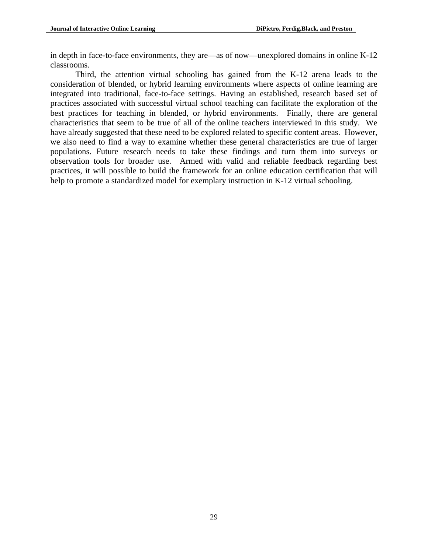in depth in face-to-face environments, they are—as of now—unexplored domains in online K-12 classrooms.

Third, the attention virtual schooling has gained from the K-12 arena leads to the consideration of blended, or hybrid learning environments where aspects of online learning are integrated into traditional, face-to-face settings. Having an established, research based set of practices associated with successful virtual school teaching can facilitate the exploration of the best practices for teaching in blended, or hybrid environments. Finally, there are general characteristics that seem to be true of all of the online teachers interviewed in this study. We have already suggested that these need to be explored related to specific content areas. However, we also need to find a way to examine whether these general characteristics are true of larger populations. Future research needs to take these findings and turn them into surveys or observation tools for broader use. Armed with valid and reliable feedback regarding best practices, it will possible to build the framework for an online education certification that will help to promote a standardized model for exemplary instruction in K-12 virtual schooling.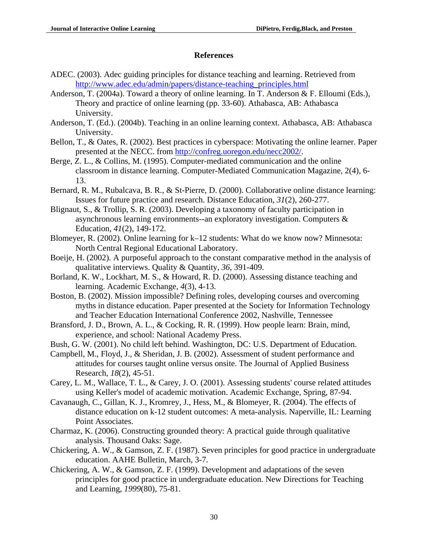#### **References**

- ADEC. (2003). Adec guiding principles for distance teaching and learning. Retrieved from [http://www.adec.edu/admin/papers/distance-teaching\\_principles.html](http://www.adec.edu/admin/papers/distance-teaching_principles.html)
- Anderson, T. (2004a). Toward a theory of online learning. In T. Anderson & F. Elloumi (Eds.), Theory and practice of online learning (pp. 33-60). Athabasca, AB: Athabasca University.
- Anderson, T. (Ed.). (2004b). Teaching in an online learning context. Athabasca, AB: Athabasca University.
- Bellon, T., & Oates, R. (2002). Best practices in cyberspace: Motivating the online learner. Paper presented at the NECC. from <http://confreg.uoregon.edu/necc2002/>.
- Berge, Z. L., & Collins, M. (1995). Computer-mediated communication and the online classroom in distance learning. Computer-Mediated Communication Magazine, 2(4), 6- 13.
- Bernard, R. M., Rubalcava, B. R., & St-Pierre, D. (2000). Collaborative online distance learning: Issues for future practice and research. Distance Education, *31*(2), 260-277.
- Blignaut, S., & Trollip, S. R. (2003). Developing a taxonomy of faculty participation in asynchronous learning environments--an exploratory investigation. Computers & Education, *41*(2), 149-172.
- Blomeyer, R. (2002). Online learning for k–12 students: What do we know now? Minnesota: North Central Regional Educational Laboratory.
- Boeije, H. (2002). A purposeful approach to the constant comparative method in the analysis of qualitative interviews. Quality & Quantity, *36*, 391-409.
- Borland, K. W., Lockhart, M. S., & Howard, R. D. (2000). Assessing distance teaching and learning. Academic Exchange, *4*(3), 4-13.
- Boston, B. (2002). Mission impossible? Defining roles, developing courses and overcoming myths in distance education. Paper presented at the Society for Information Technology and Teacher Education International Conference 2002, Nashville, Tennessee
- Bransford, J. D., Brown, A. L., & Cocking, R. R. (1999). How people learn: Brain, mind, experience, and school: National Academy Press.
- Bush, G. W. (2001). No child left behind. Washington, DC: U.S. Department of Education.
- Campbell, M., Floyd, J., & Sheridan, J. B. (2002). Assessment of student performance and attitudes for courses taught online versus onsite. The Journal of Applied Business Research, *18*(2), 45-51.
- Carey, L. M., Wallace, T. L., & Carey, J. O. (2001). Assessing students' course related attitudes using Keller's model of academic motivation. Academic Exchange, Spring, 87-94.
- Cavanaugh, C., Gillan, K. J., Kromrey, J., Hess, M., & Blomeyer, R. (2004). The effects of distance education on k-12 student outcomes: A meta-analysis. Naperville, IL: Learning Point Associates.
- Charmaz, K. (2006). Constructing grounded theory: A practical guide through qualitative analysis. Thousand Oaks: Sage.
- Chickering, A. W., & Gamson, Z. F. (1987). Seven principles for good practice in undergraduate education. AAHE Bulletin, March, 3-7.
- Chickering, A. W., & Gamson, Z. F. (1999). Development and adaptations of the seven principles for good practice in undergraduate education. New Directions for Teaching and Learning, *1999*(80), 75-81.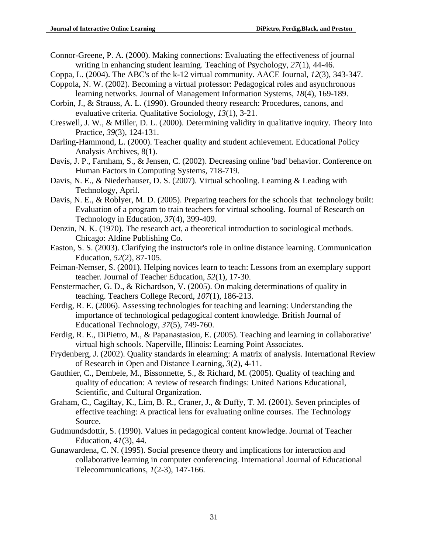- Connor-Greene, P. A. (2000). Making connections: Evaluating the effectiveness of journal writing in enhancing student learning. Teaching of Psychology, *27*(1), 44-46.
- Coppa, L. (2004). The ABC's of the k-12 virtual community. AACE Journal, *12*(3), 343-347.
- Coppola, N. W. (2002). Becoming a virtual professor: Pedagogical roles and asynchronous learning networks. Journal of Management Information Systems, *18*(4), 169-189.
- Corbin, J., & Strauss, A. L. (1990). Grounded theory research: Procedures, canons, and evaluative criteria. Qualitative Sociology, *13*(1), 3-21.
- Creswell, J. W., & Miller, D. L. (2000). Determining validity in qualitative inquiry. Theory Into Practice, *39*(3), 124-131.
- Darling-Hammond, L. (2000). Teacher quality and student achievement. Educational Policy Analysis Archives, 8(1).
- Davis, J. P., Farnham, S., & Jensen, C. (2002). Decreasing online 'bad' behavior. Conference on Human Factors in Computing Systems, 718-719.
- Davis, N. E., & Niederhauser, D. S. (2007). Virtual schooling. Learning & Leading with Technology, April.
- Davis, N. E., & Roblyer, M. D. (2005). Preparing teachers for the schools that technology built: Evaluation of a program to train teachers for virtual schooling. Journal of Research on Technology in Education, *37*(4), 399-409.
- Denzin, N. K. (1970). The research act, a theoretical introduction to sociological methods. Chicago: Aldine Publishing Co.
- Easton, S. S. (2003). Clarifying the instructor's role in online distance learning. Communication Education, *52*(2), 87-105.
- Feiman-Nemser, S. (2001). Helping novices learn to teach: Lessons from an exemplary support teacher. Journal of Teacher Education, *52*(1), 17-30.
- Fenstermacher, G. D., & Richardson, V. (2005). On making determinations of quality in teaching. Teachers College Record, *107*(1), 186-213.
- Ferdig, R. E. (2006). Assessing technologies for teaching and learning: Understanding the importance of technological pedagogical content knowledge. British Journal of Educational Technology, *37*(5), 749-760.
- Ferdig, R. E., DiPietro, M., & Papanastasiou, E. (2005). Teaching and learning in collaborative' virtual high schools. Naperville, Illinois: Learning Point Associates.
- Frydenberg, J. (2002). Quality standards in elearning: A matrix of analysis. International Review of Research in Open and Distance Learning, *3*(2), 4-11.
- Gauthier, C., Dembele, M., Bissonnette, S., & Richard, M. (2005). Quality of teaching and quality of education: A review of research findings: United Nations Educational, Scientific, and Cultural Organization.
- Graham, C., Cagiltay, K., Lim, B. R., Craner, J., & Duffy, T. M. (2001). Seven principles of effective teaching: A practical lens for evaluating online courses. The Technology Source.
- Gudmundsdottir, S. (1990). Values in pedagogical content knowledge. Journal of Teacher Education, *41*(3), 44.
- Gunawardena, C. N. (1995). Social presence theory and implications for interaction and collaborative learning in computer conferencing. International Journal of Educational Telecommunications, *1*(2-3), 147-166.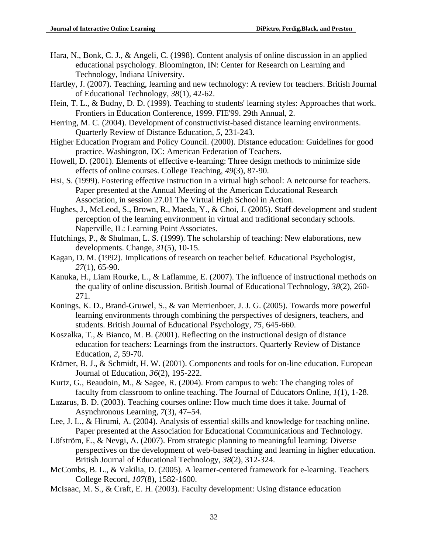- Hara, N., Bonk, C. J., & Angeli, C. (1998). Content analysis of online discussion in an applied educational psychology. Bloomington, IN: Center for Research on Learning and Technology, Indiana University.
- Hartley, J. (2007). Teaching, learning and new technology: A review for teachers. British Journal of Educational Technology, *38*(1), 42-62.
- Hein, T. L., & Budny, D. D. (1999). Teaching to students' learning styles: Approaches that work. Frontiers in Education Conference, 1999. FIE'99. 29th Annual, 2.
- Herring, M. C. (2004). Development of constructivist-based distance learning environments. Quarterly Review of Distance Education, *5*, 231-243.
- Higher Education Program and Policy Council. (2000). Distance education: Guidelines for good practice. Washington, DC: American Federation of Teachers.
- Howell, D. (2001). Elements of effective e-learning: Three design methods to minimize side effects of online courses. College Teaching, *49*(3), 87-90.
- Hsi, S. (1999). Fostering effective instruction in a virtual high school: A netcourse for teachers. Paper presented at the Annual Meeting of the American Educational Research Association, in session 27.01 The Virtual High School in Action.
- Hughes, J., McLeod, S., Brown, R., Maeda, Y., & Choi, J. (2005). Staff development and student perception of the learning environment in virtual and traditional secondary schools. Naperville, IL: Learning Point Associates.
- Hutchings, P., & Shulman, L. S. (1999). The scholarship of teaching: New elaborations, new developments. Change, *31*(5), 10-15.
- Kagan, D. M. (1992). Implications of research on teacher belief. Educational Psychologist, *27*(1), 65-90.
- Kanuka, H., Liam Rourke, L., & Laflamme, E. (2007). The influence of instructional methods on the quality of online discussion. British Journal of Educational Technology, *38*(2), 260- 271.
- Konings, K. D., Brand-Gruwel, S., & van Merrienboer, J. J. G. (2005). Towards more powerful learning environments through combining the perspectives of designers, teachers, and students. British Journal of Educational Psychology, *75*, 645-660.
- Koszalka, T., & Bianco, M. B. (2001). Reflecting on the instructional design of distance education for teachers: Learnings from the instructors. Quarterly Review of Distance Education, *2*, 59-70.
- Krämer, B. J., & Schmidt, H. W. (2001). Components and tools for on-line education. European Journal of Education, *36*(2), 195-222.
- Kurtz, G., Beaudoin, M., & Sagee, R. (2004). From campus to web: The changing roles of faculty from classroom to online teaching. The Journal of Educators Online, *1*(1), 1-28.
- Lazarus, B. D. (2003). Teaching courses online: How much time does it take. Journal of Asynchronous Learning, *7*(3), 47–54.
- Lee, J. L., & Hirumi, A. (2004). Analysis of essential skills and knowledge for teaching online. Paper presented at the Association for Educational Communications and Technology.
- Löfström, E., & Nevgi, A. (2007). From strategic planning to meaningful learning: Diverse perspectives on the development of web-based teaching and learning in higher education. British Journal of Educational Technology, *38*(2), 312-324.
- McCombs, B. L., & Vakilia, D. (2005). A learner-centered framework for e-learning. Teachers College Record, *107*(8), 1582-1600.
- McIsaac, M. S., & Craft, E. H. (2003). Faculty development: Using distance education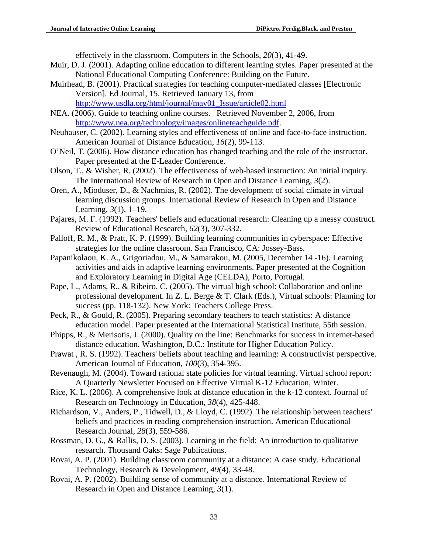effectively in the classroom. Computers in the Schools, *20*(3), 41-49.

- Muir, D. J. (2001). Adapting online education to different learning styles. Paper presented at the National Educational Computing Conference: Building on the Future.
- Muirhead, B. (2001). Practical strategies for teaching computer-mediated classes [Electronic Version]. Ed Journal, 15. Retrieved January 13, from [http://www.usdla.org/html/journal/may01\\_Issue/article02.html](http://www.usdla.org/html/journal/may01_Issue/article02.html)
- NEA. (2006). Guide to teaching online courses. Retrieved November 2, 2006, from [http://www.nea.org/technology/images/onlineteachguide.pdf.](http://www.nea.org/technology/images/onlineteachguide.pdf)
- Neuhauser, C. (2002). Learning styles and effectiveness of online and face-to-face instruction. American Journal of Distance Education, *16*(2), 99-113.
- O'Neil, T. (2006). How distance education has changed teaching and the role of the instructor. Paper presented at the E-Leader Conference.
- Olson, T., & Wisher, R. (2002). The effectiveness of web-based instruction: An initial inquiry. The International Review of Research in Open and Distance Learning, *3*(2).
- Oren, A., Mioduser, D., & Nachmias, R. (2002). The development of social climate in virtual learning discussion groups. International Review of Research in Open and Distance Learning, *3*(1), 1–19.
- Pajares, M. F. (1992). Teachers' beliefs and educational research: Cleaning up a messy construct. Review of Educational Research, *62*(3), 307-332.
- Palloff, R. M., & Pratt, K. P. (1999). Building learning communities in cyberspace: Effective strategies for the online classroom. San Francisco, CA: Jossey-Bass.
- Papanikolaou, K. A., Grigoriadou, M., & Samarakou, M. (2005, December 14 -16). Learning activities and aids in adaptive learning environments. Paper presented at the Cognition and Exploratory Learning in Digital Age (CELDA), Porto, Portugal.
- Pape, L., Adams, R., & Ribeiro, C. (2005). The virtual high school: Collaboration and online professional development. In Z. L. Berge & T. Clark (Eds.), Virtual schools: Planning for success (pp. 118-132). New York: Teachers College Press.
- Peck, R., & Gould, R. (2005). Preparing secondary teachers to teach statistics: A distance education model. Paper presented at the International Statistical Institute, 55th session.
- Phipps, R., & Merisotis, J. (2000). Quality on the line: Benchmarks for success in internet-based distance education. Washington, D.C.: Institute for Higher Education Policy.
- Prawat , R. S. (1992). Teachers' beliefs about teaching and learning: A constructivist perspective. American Journal of Education, *100*(3), 354-395.
- Revenaugh, M. (2004). Toward rational state policies for virtual learning. Virtual school report: A Quarterly Newsletter Focused on Effective Virtual K-12 Education, Winter.
- Rice, K. L. (2006). A comprehensive look at distance education in the k-12 context. Journal of Research on Technology in Education, *38*(4), 425-448.
- Richardson, V., Anders, P., Tidwell, D., & Lloyd, C. (1992). The relationship between teachers' beliefs and practices in reading comprehension instruction. American Educational Research Journal, *28*(3), 559-586.
- Rossman, D. G., & Rallis, D. S. (2003). Learning in the field: An introduction to qualitative research. Thousand Oaks: Sage Publications.
- Rovai, A. P. (2001). Building classroom community at a distance: A case study. Educational Technology, Research & Development, *49*(4), 33-48.
- Rovai, A. P. (2002). Building sense of community at a distance. International Review of Research in Open and Distance Learning, *3*(1).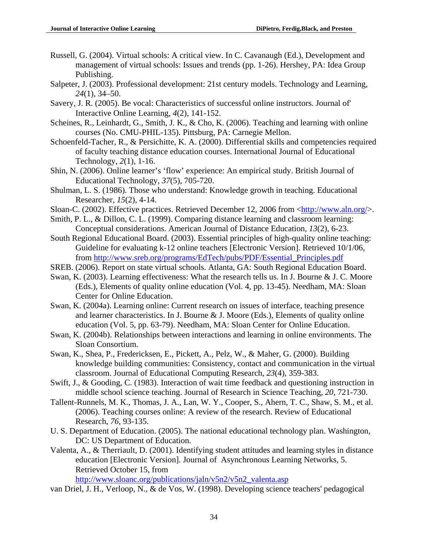- Russell, G. (2004). Virtual schools: A critical view. In C. Cavanaugh (Ed.), Development and management of virtual schools: Issues and trends (pp. 1-26). Hershey, PA: Idea Group Publishing.
- Salpeter, J. (2003). Professional development: 21st century models. Technology and Learning, *24*(1), 34–50.
- Savery, J. R. (2005). Be vocal: Characteristics of successful online instructors. Journal of' Interactive Online Learning, *4*(2), 141-152.
- Scheines, R., Leinhardt, G., Smith, J. K., & Cho, K. (2006). Teaching and learning with online courses (No. CMU-PHIL-135). Pittsburg, PA: Carnegie Mellon.
- Schoenfeld-Tacher, R., & Persichitte, K. A. (2000). Differential skills and competencies required of faculty teaching distance education courses. International Journal of Educational Technology, *2*(1), 1-16.
- Shin, N. (2006). Online learner's 'flow' experience: An empirical study. British Journal of Educational Technology, *37*(5), 705-720.
- Shulman, L. S. (1986). Those who understand: Knowledge growth in teaching. Educational Researcher, *15*(2), 4-14.
- Sloan-C. (2002). Effective practices. Retrieved December 12, 2006 from [<http://www.aln.org/>](http://www.aln.org/).
- Smith, P. L., & Dillon, C. L. (1999). Comparing distance learning and classroom learning: Conceptual considerations. American Journal of Distance Education, *13*(2), 6-23.
- South Regional Educational Board. (2003). Essential principles of high-quality online teaching: Guideline for evaluating k-12 online teachers [Electronic Version]. Retrieved 10/1/06, from [http://www.sreb.org/programs/EdTech/pubs/PDF/Essential\\_Principles.pdf](http://www.sreb.org/programs/EdTech/pubs/PDF/Essential_Principles.pdf)
- SREB. (2006). Report on state virtual schools. Atlanta, GA: South Regional Education Board.
- Swan, K. (2003). Learning effectiveness: What the research tells us. In J. Bourne & J. C. Moore (Eds.), Elements of quality online education (Vol. 4, pp. 13-45). Needham, MA: Sloan Center for Online Education.
- Swan, K. (2004a). Learning online: Current research on issues of interface, teaching presence and learner characteristics. In J. Bourne & J. Moore (Eds.), Elements of quality online education (Vol. 5, pp. 63-79). Needham, MA: Sloan Center for Online Education.
- Swan, K. (2004b). Relationships between interactions and learning in online environments. The Sloan Consortium.
- Swan, K., Shea, P., Fredericksen, E., Pickett, A., Pelz, W., & Maher, G. (2000). Building knowledge building communities: Consistency, contact and communication in the virtual classroom. Journal of Educational Computing Research, *23*(4), 359-383.
- Swift, J., & Gooding, C. (1983). Interaction of wait time feedback and questioning instruction in middle school science teaching. Journal of Research in Science Teaching, *20*, 721-730.
- Tallent-Runnels, M. K., Thomas, J. A., Lan, W. Y., Cooper, S., Ahern, T. C., Shaw, S. M., et al. (2006). Teaching courses online: A review of the research. Review of Educational Research, *76*, 93-135.
- U. S. Department of Education. (2005). The national educational technology plan. Washington, DC: US Department of Education.
- Valenta, A., & Therriault, D. (2001). Identifying student attitudes and learning styles in distance education [Electronic Version]. Journal of Asynchronous Learning Networks, 5. Retrieved October 15, from

[http://www.sloanc.org/publications/jaln/v5n2/v5n2\\_valenta.asp](http://www.sloanc.org/publications/jaln/v5n2/v5n2_valenta.asp)

van Driel, J. H., Verloop, N., & de Vos, W. (1998). Developing science teachers' pedagogical